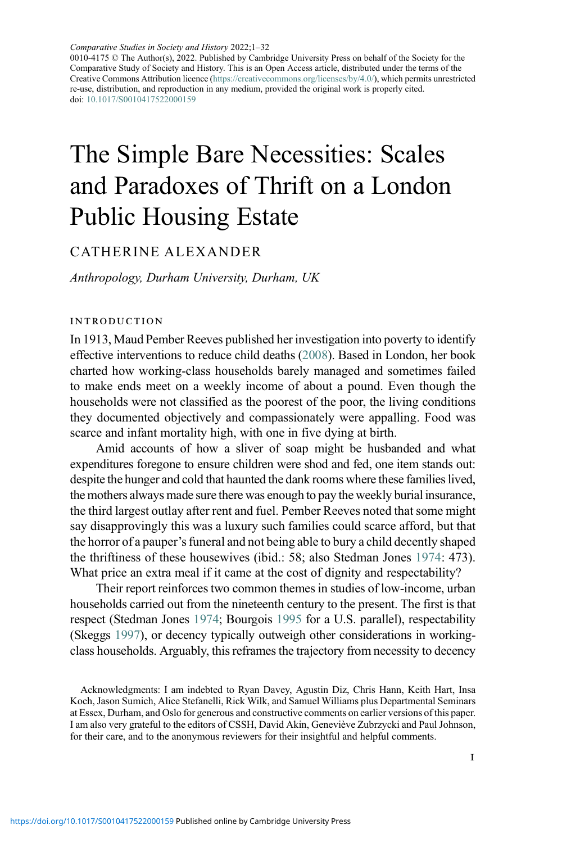0010-4175 © The Author(s), 2022. Published by Cambridge University Press on behalf of the Society for the Comparative Study of Society and History. This is an Open Access article, distributed under the terms of the Creative Commons Attribution licence (<https://creativecommons.org/licenses/by/4.0/>), which permits unrestricted re-use, distribution, and reproduction in any medium, provided the original work is properly cited. doi: [10.1017/S0010417522000159](https://doi.org/10.1017/S0010417522000159)

# The Simple Bare Necessities: Scales and Paradoxes of Thrift on a London Public Housing Estate

# CATHER INE ALEXANDER

Anthropology, Durham University, Durham, UK

## introduction

In 1913, Maud Pember Reeves published her investigation into poverty to identify effective interventions to reduce child deaths [\(2008\)](#page-29-0). Based in London, her book charted how working-class households barely managed and sometimes failed to make ends meet on a weekly income of about a pound. Even though the households were not classified as the poorest of the poor, the living conditions they documented objectively and compassionately were appalling. Food was scarce and infant mortality high, with one in five dying at birth.

Amid accounts of how a sliver of soap might be husbanded and what expenditures foregone to ensure children were shod and fed, one item stands out: despite the hunger and cold that haunted the dank rooms where these families lived, the mothers always made sure there was enough to pay the weekly burial insurance, the third largest outlay after rent and fuel. Pember Reeves noted that some might say disapprovingly this was a luxury such families could scarce afford, but that the horror of a pauper's funeral and not being able to bury a child decently shaped the thriftiness of these housewives (ibid.: 58; also Stedman Jones [1974](#page-29-1): 473). What price an extra meal if it came at the cost of dignity and respectability?

Their report reinforces two common themes in studies of low-income, urban households carried out from the nineteenth century to the present. The first is that respect (Stedman Jones [1974](#page-29-1); Bourgois [1995](#page-26-0) for a U.S. parallel), respectability (Skeggs [1997\)](#page-29-2), or decency typically outweigh other considerations in workingclass households. Arguably, this reframes the trajectory from necessity to decency

Acknowledgments: I am indebted to Ryan Davey, Agustin Diz, Chris Hann, Keith Hart, Insa Koch, Jason Sumich, Alice Stefanelli, Rick Wilk, and Samuel Williams plus Departmental Seminars at Essex, Durham, and Oslo for generous and constructive comments on earlier versions of this paper. I am also very grateful to the editors of CSSH, David Akin, Geneviève Zubrzycki and Paul Johnson, for their care, and to the anonymous reviewers for their insightful and helpful comments.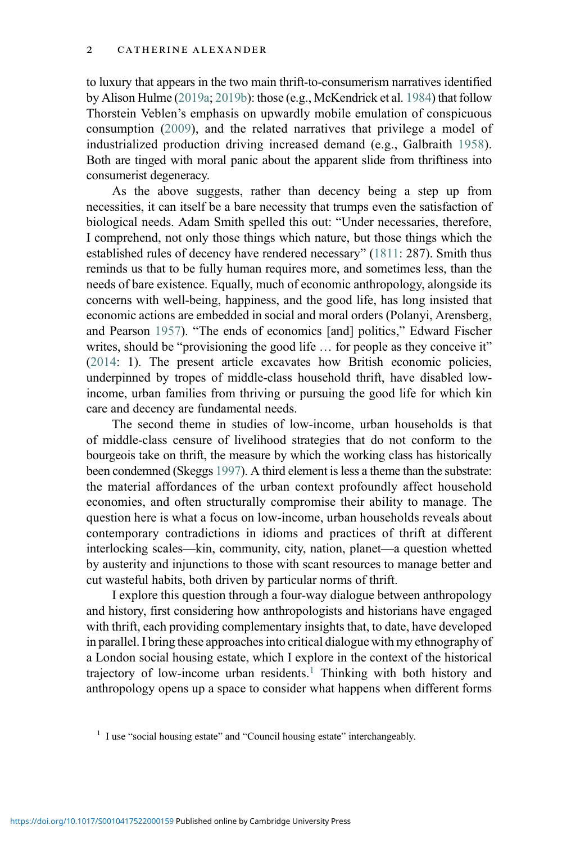to luxury that appears in the two main thrift-to-consumerism narratives identified by Alison Hulme [\(2019a;](#page-27-0) [2019b\)](#page-27-1): those (e.g., McKendrick et al. [1984\)](#page-28-0) that follow Thorstein Veblen's emphasis on upwardly mobile emulation of conspicuous consumption ([2009\)](#page-30-0), and the related narratives that privilege a model of industrialized production driving increased demand (e.g., Galbraith [1958](#page-27-2)). Both are tinged with moral panic about the apparent slide from thriftiness into consumerist degeneracy.

As the above suggests, rather than decency being a step up from necessities, it can itself be a bare necessity that trumps even the satisfaction of biological needs. Adam Smith spelled this out: "Under necessaries, therefore, I comprehend, not only those things which nature, but those things which the established rules of decency have rendered necessary" [\(1811:](#page-29-3) 287). Smith thus reminds us that to be fully human requires more, and sometimes less, than the needs of bare existence. Equally, much of economic anthropology, alongside its concerns with well-being, happiness, and the good life, has long insisted that economic actions are embedded in social and moral orders (Polanyi, Arensberg, and Pearson [1957](#page-29-4)). "The ends of economics [and] politics," Edward Fischer writes, should be "provisioning the good life ... for people as they conceive it" ([2014](#page-27-3): 1). The present article excavates how British economic policies, underpinned by tropes of middle-class household thrift, have disabled lowincome, urban families from thriving or pursuing the good life for which kin care and decency are fundamental needs.

The second theme in studies of low-income, urban households is that of middle-class censure of livelihood strategies that do not conform to the bourgeois take on thrift, the measure by which the working class has historically been condemned (Skeggs [1997](#page-29-2)). A third element is less a theme than the substrate: the material affordances of the urban context profoundly affect household economies, and often structurally compromise their ability to manage. The question here is what a focus on low-income, urban households reveals about contemporary contradictions in idioms and practices of thrift at different interlocking scales—kin, community, city, nation, planet—a question whetted by austerity and injunctions to those with scant resources to manage better and cut wasteful habits, both driven by particular norms of thrift.

I explore this question through a four-way dialogue between anthropology and history, first considering how anthropologists and historians have engaged with thrift, each providing complementary insights that, to date, have developed in parallel. I bring these approaches into critical dialogue with my ethnography of a London social housing estate, which I explore in the context of the historical trajectory of low-income urban residents.<sup>[1](#page-1-0)</sup> Thinking with both history and anthropology opens up a space to consider what happens when different forms

<span id="page-1-0"></span><sup>&</sup>lt;sup>1</sup> I use "social housing estate" and "Council housing estate" interchangeably.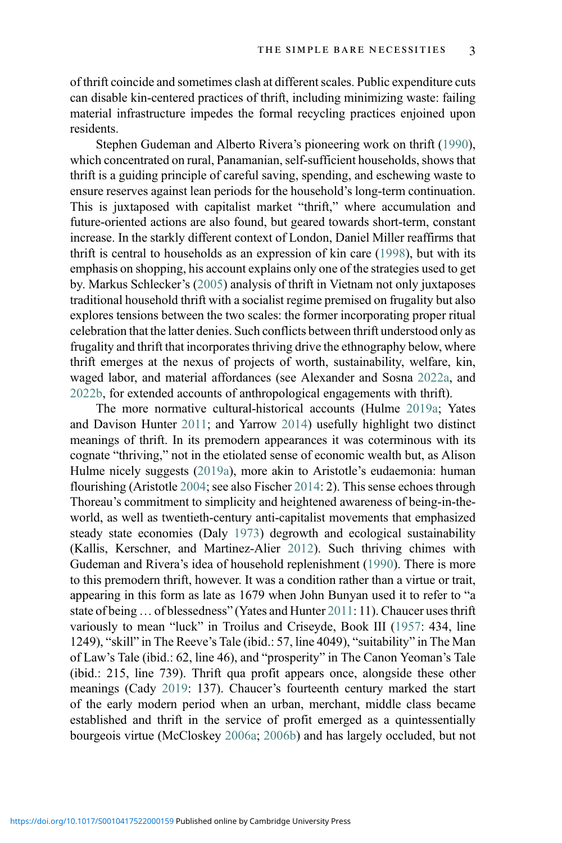of thrift coincide and sometimes clash at different scales. Public expenditure cuts can disable kin-centered practices of thrift, including minimizing waste: failing material infrastructure impedes the formal recycling practices enjoined upon residents.

Stephen Gudeman and Alberto Rivera's pioneering work on thrift [\(1990\)](#page-27-4), which concentrated on rural, Panamanian, self-sufficient households, shows that thrift is a guiding principle of careful saving, spending, and eschewing waste to ensure reserves against lean periods for the household's long-term continuation. This is juxtaposed with capitalist market "thrift," where accumulation and future-oriented actions are also found, but geared towards short-term, constant increase. In the starkly different context of London, Daniel Miller reaffirms that thrift is central to households as an expression of kin care ([1998\)](#page-28-1), but with its emphasis on shopping, his account explains only one of the strategies used to get by. Markus Schlecker's ([2005\)](#page-29-5) analysis of thrift in Vietnam not only juxtaposes traditional household thrift with a socialist regime premised on frugality but also explores tensions between the two scales: the former incorporating proper ritual celebration that the latter denies. Such conflicts between thrift understood only as frugality and thrift that incorporates thriving drive the ethnography below, where thrift emerges at the nexus of projects of worth, sustainability, welfare, kin, waged labor, and material affordances (see Alexander and Sosna [2022a](#page-26-1), and [2022b,](#page-26-2) for extended accounts of anthropological engagements with thrift).

The more normative cultural-historical accounts (Hulme [2019a;](#page-27-0) Yates and Davison Hunter [2011](#page-30-1); and Yarrow [2014](#page-30-2)) usefully highlight two distinct meanings of thrift. In its premodern appearances it was coterminous with its cognate "thriving," not in the etiolated sense of economic wealth but, as Alison Hulme nicely suggests ([2019a](#page-27-0)), more akin to Aristotle's eudaemonia: human flourishing (Aristotle [2004](#page-26-3); see also Fischer [2014](#page-27-3): 2). This sense echoes through Thoreau's commitment to simplicity and heightened awareness of being-in-theworld, as well as twentieth-century anti-capitalist movements that emphasized steady state economies (Daly [1973\)](#page-26-4) degrowth and ecological sustainability (Kallis, Kerschner, and Martinez-Alier [2012](#page-28-2)). Such thriving chimes with Gudeman and Rivera's idea of household replenishment [\(1990](#page-27-4)). There is more to this premodern thrift, however. It was a condition rather than a virtue or trait, appearing in this form as late as 1679 when John Bunyan used it to refer to "a state of being ... of blessedness" (Yates and Hunter [2011:](#page-30-1) 11). Chaucer uses thrift variously to mean "luck" in Troilus and Criseyde, Book III ([1957:](#page-26-5) 434, line 1249), "skill" in The Reeve's Tale (ibid.: 57, line 4049), "suitability" in The Man of Law's Tale (ibid.: 62, line 46), and "prosperity" in The Canon Yeoman's Tale (ibid.: 215, line 739). Thrift qua profit appears once, alongside these other meanings (Cady [2019](#page-26-6): 137). Chaucer's fourteenth century marked the start of the early modern period when an urban, merchant, middle class became established and thrift in the service of profit emerged as a quintessentially bourgeois virtue (McCloskey [2006a](#page-28-3); [2006b\)](#page-28-4) and has largely occluded, but not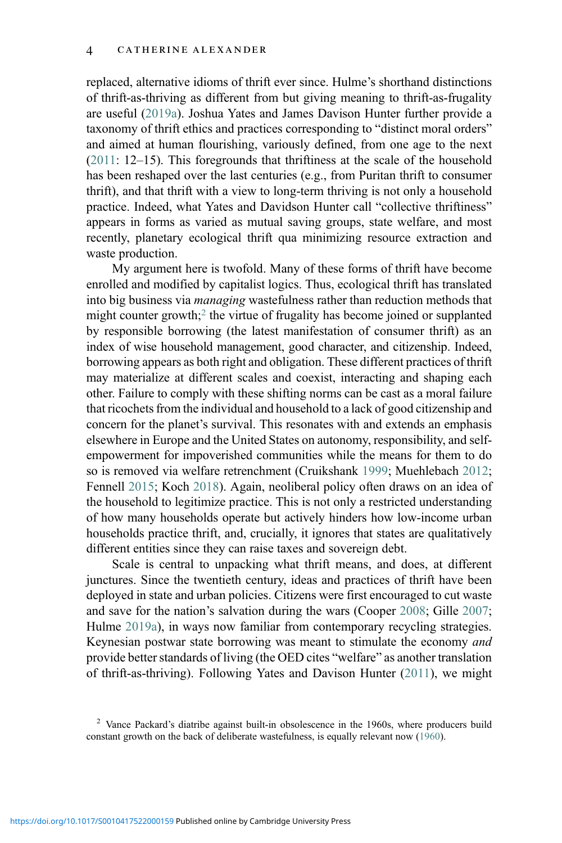replaced, alternative idioms of thrift ever since. Hulme's shorthand distinctions of thrift-as-thriving as different from but giving meaning to thrift-as-frugality are useful ([2019a](#page-27-0)). Joshua Yates and James Davison Hunter further provide a taxonomy of thrift ethics and practices corresponding to "distinct moral orders" and aimed at human flourishing, variously defined, from one age to the next ([2011](#page-30-1): 12–15). This foregrounds that thriftiness at the scale of the household has been reshaped over the last centuries (e.g., from Puritan thrift to consumer thrift), and that thrift with a view to long-term thriving is not only a household practice. Indeed, what Yates and Davidson Hunter call "collective thriftiness" appears in forms as varied as mutual saving groups, state welfare, and most recently, planetary ecological thrift qua minimizing resource extraction and waste production.

My argument here is twofold. Many of these forms of thrift have become enrolled and modified by capitalist logics. Thus, ecological thrift has translated into big business via managing wastefulness rather than reduction methods that might counter growth;<sup>[2](#page-3-0)</sup> the virtue of frugality has become joined or supplanted by responsible borrowing (the latest manifestation of consumer thrift) as an index of wise household management, good character, and citizenship. Indeed, borrowing appears as both right and obligation. These different practices of thrift may materialize at different scales and coexist, interacting and shaping each other. Failure to comply with these shifting norms can be cast as a moral failure that ricochets from the individual and household to a lack of good citizenship and concern for the planet's survival. This resonates with and extends an emphasis elsewhere in Europe and the United States on autonomy, responsibility, and selfempowerment for impoverished communities while the means for them to do so is removed via welfare retrenchment (Cruikshank [1999](#page-26-7); Muehlebach [2012](#page-28-5); Fennell [2015;](#page-27-5) Koch [2018](#page-28-6)). Again, neoliberal policy often draws on an idea of the household to legitimize practice. This is not only a restricted understanding of how many households operate but actively hinders how low-income urban households practice thrift, and, crucially, it ignores that states are qualitatively different entities since they can raise taxes and sovereign debt.

Scale is central to unpacking what thrift means, and does, at different junctures. Since the twentieth century, ideas and practices of thrift have been deployed in state and urban policies. Citizens were first encouraged to cut waste and save for the nation's salvation during the wars (Cooper [2008](#page-26-8); Gille [2007](#page-27-6); Hulme [2019a\)](#page-27-0), in ways now familiar from contemporary recycling strategies. Keynesian postwar state borrowing was meant to stimulate the economy and provide better standards of living (the OED cites "welfare" as another translation of thrift-as-thriving). Following Yates and Davison Hunter ([2011\)](#page-30-1), we might

<span id="page-3-0"></span><sup>&</sup>lt;sup>2</sup> Vance Packard's diatribe against built-in obsolescence in the 1960s, where producers build constant growth on the back of deliberate wastefulness, is equally relevant now [\(1960](#page-29-6)).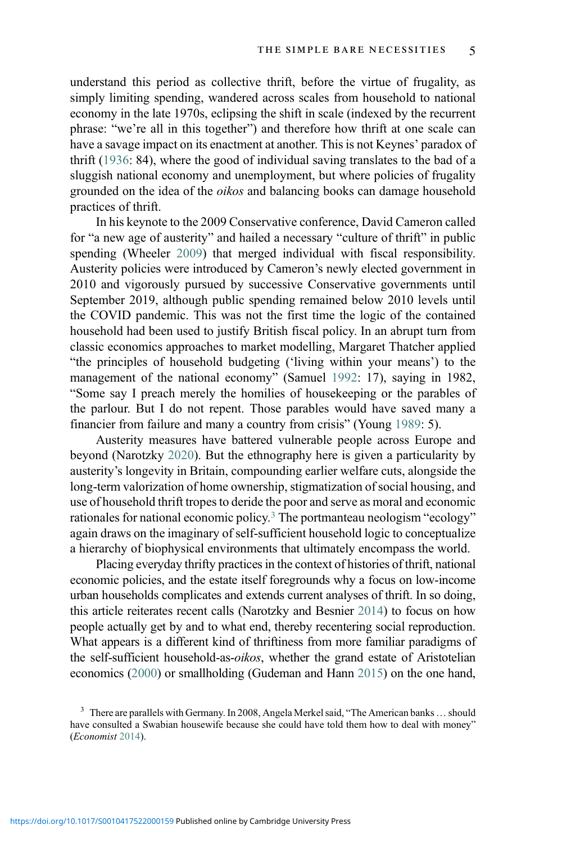understand this period as collective thrift, before the virtue of frugality, as simply limiting spending, wandered across scales from household to national economy in the late 1970s, eclipsing the shift in scale (indexed by the recurrent phrase: "we're all in this together") and therefore how thrift at one scale can have a savage impact on its enactment at another. This is not Keynes' paradox of thrift [\(1936](#page-28-7): 84), where the good of individual saving translates to the bad of a sluggish national economy and unemployment, but where policies of frugality grounded on the idea of the oikos and balancing books can damage household practices of thrift.

In his keynote to the 2009 Conservative conference, David Cameron called for "a new age of austerity" and hailed a necessary "culture of thrift" in public spending (Wheeler [2009\)](#page-30-3) that merged individual with fiscal responsibility. Austerity policies were introduced by Cameron's newly elected government in 2010 and vigorously pursued by successive Conservative governments until September 2019, although public spending remained below 2010 levels until the COVID pandemic. This was not the first time the logic of the contained household had been used to justify British fiscal policy. In an abrupt turn from classic economics approaches to market modelling, Margaret Thatcher applied "the principles of household budgeting ('living within your means') to the management of the national economy" (Samuel [1992:](#page-29-7) 17), saying in 1982, "Some say I preach merely the homilies of housekeeping or the parables of the parlour. But I do not repent. Those parables would have saved many a financier from failure and many a country from crisis" (Young [1989:](#page-30-4) 5).

Austerity measures have battered vulnerable people across Europe and beyond (Narotzky [2020](#page-28-8)). But the ethnography here is given a particularity by austerity's longevity in Britain, compounding earlier welfare cuts, alongside the long-term valorization of home ownership, stigmatization of social housing, and use of household thrift tropes to deride the poor and serve as moral and economic rationales for national economic policy[.3](#page-4-0) The portmanteau neologism "ecology" again draws on the imaginary of self-sufficient household logic to conceptualize a hierarchy of biophysical environments that ultimately encompass the world.

Placing everyday thrifty practices in the context of histories of thrift, national economic policies, and the estate itself foregrounds why a focus on low-income urban households complicates and extends current analyses of thrift. In so doing, this article reiterates recent calls (Narotzky and Besnier [2014\)](#page-28-9) to focus on how people actually get by and to what end, thereby recentering social reproduction. What appears is a different kind of thriftiness from more familiar paradigms of the self-sufficient household-as-oikos, whether the grand estate of Aristotelian economics [\(2000\)](#page-26-9) or smallholding (Gudeman and Hann [2015](#page-27-7)) on the one hand,

<span id="page-4-0"></span> $3$  There are parallels with Germany. In 2008, Angela Merkel said, "The American banks ... should have consulted a Swabian housewife because she could have told them how to deal with money" (Economist [2014\)](#page-27-8).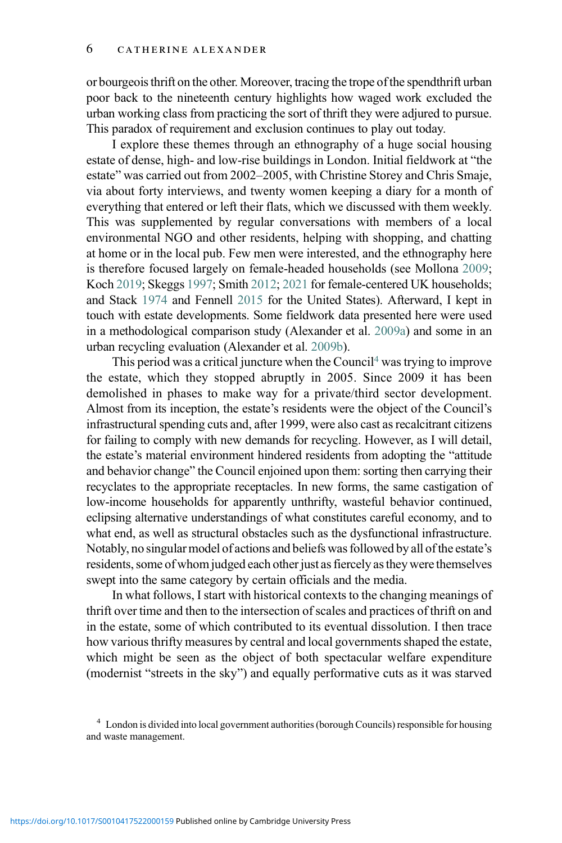or bourgeois thrift on the other. Moreover, tracing the trope of the spendthrift urban poor back to the nineteenth century highlights how waged work excluded the urban working class from practicing the sort of thrift they were adjured to pursue. This paradox of requirement and exclusion continues to play out today.

I explore these themes through an ethnography of a huge social housing estate of dense, high- and low-rise buildings in London. Initial fieldwork at "the estate" was carried out from 2002–2005, with Christine Storey and Chris Smaje, via about forty interviews, and twenty women keeping a diary for a month of everything that entered or left their flats, which we discussed with them weekly. This was supplemented by regular conversations with members of a local environmental NGO and other residents, helping with shopping, and chatting at home or in the local pub. Few men were interested, and the ethnography here is therefore focused largely on female-headed households (see Mollona [2009](#page-28-10); Koch [2019;](#page-28-11) Skeggs [1997](#page-29-2); Smith [2012;](#page-29-8) [2021](#page-29-9) for female-centered UK households; and Stack [1974](#page-29-10) and Fennell [2015](#page-27-5) for the United States). Afterward, I kept in touch with estate developments. Some fieldwork data presented here were used in a methodological comparison study (Alexander et al. [2009a\)](#page-25-0) and some in an urban recycling evaluation (Alexander et al. [2009b\)](#page-25-1).

This period was a critical juncture when the Council<sup>[4](#page-5-0)</sup> was trying to improve the estate, which they stopped abruptly in 2005. Since 2009 it has been demolished in phases to make way for a private/third sector development. Almost from its inception, the estate's residents were the object of the Council's infrastructural spending cuts and, after 1999, were also cast as recalcitrant citizens for failing to comply with new demands for recycling. However, as I will detail, the estate's material environment hindered residents from adopting the "attitude and behavior change" the Council enjoined upon them: sorting then carrying their recyclates to the appropriate receptacles. In new forms, the same castigation of low-income households for apparently unthrifty, wasteful behavior continued, eclipsing alternative understandings of what constitutes careful economy, and to what end, as well as structural obstacles such as the dysfunctional infrastructure. Notably, no singular model of actions and beliefs was followed by all of the estate's residents, some of whom judged each other just as fiercely as they were themselves swept into the same category by certain officials and the media.

In what follows, I start with historical contexts to the changing meanings of thrift over time and then to the intersection of scales and practices of thrift on and in the estate, some of which contributed to its eventual dissolution. I then trace how various thrifty measures by central and local governments shaped the estate, which might be seen as the object of both spectacular welfare expenditure (modernist "streets in the sky") and equally performative cuts as it was starved

<span id="page-5-0"></span><sup>4</sup> London is divided into local government authorities (borough Councils) responsible for housing and waste management.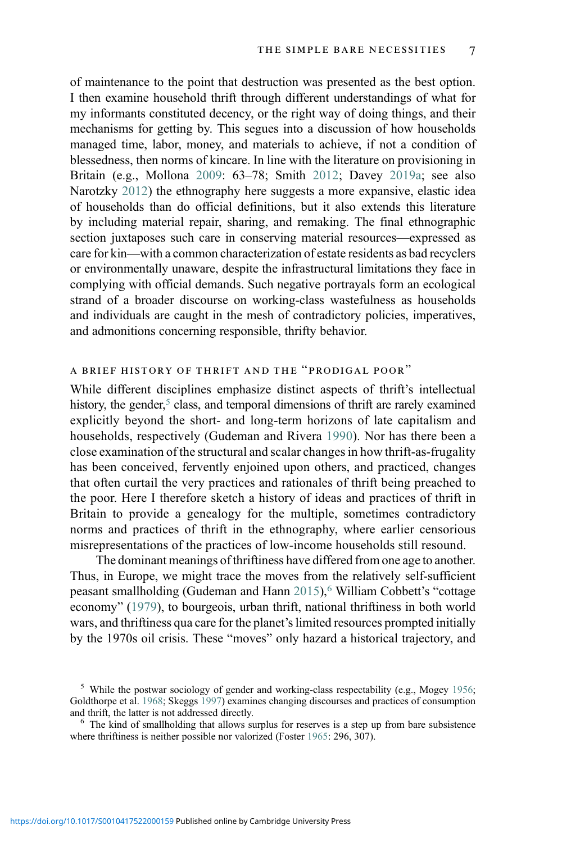of maintenance to the point that destruction was presented as the best option. I then examine household thrift through different understandings of what for my informants constituted decency, or the right way of doing things, and their mechanisms for getting by. This segues into a discussion of how households managed time, labor, money, and materials to achieve, if not a condition of blessedness, then norms of kincare. In line with the literature on provisioning in Britain (e.g., Mollona [2009:](#page-28-10) 63–78; Smith [2012](#page-29-8); Davey [2019a;](#page-26-10) see also Narotzky [2012\)](#page-28-12) the ethnography here suggests a more expansive, elastic idea of households than do official definitions, but it also extends this literature by including material repair, sharing, and remaking. The final ethnographic section juxtaposes such care in conserving material resources—expressed as care for kin—with a common characterization of estate residents as bad recyclers or environmentally unaware, despite the infrastructural limitations they face in complying with official demands. Such negative portrayals form an ecological strand of a broader discourse on working-class wastefulness as households and individuals are caught in the mesh of contradictory policies, imperatives, and admonitions concerning responsible, thrifty behavior.

## a brief history of thrift and the "prodigal poor"

While different disciplines emphasize distinct aspects of thrift's intellectual history, the gender,<sup>5</sup> class, and temporal dimensions of thrift are rarely examined explicitly beyond the short- and long-term horizons of late capitalism and households, respectively (Gudeman and Rivera [1990](#page-27-4)). Nor has there been a close examination of the structural and scalar changes in how thrift-as-frugality has been conceived, fervently enjoined upon others, and practiced, changes that often curtail the very practices and rationales of thrift being preached to the poor. Here I therefore sketch a history of ideas and practices of thrift in Britain to provide a genealogy for the multiple, sometimes contradictory norms and practices of thrift in the ethnography, where earlier censorious misrepresentations of the practices of low-income households still resound.

The dominant meanings of thriftiness have differed from one age to another. Thus, in Europe, we might trace the moves from the relatively self-sufficient peasant smallholding (Gudeman and Hann [2015\)](#page-27-7),<sup>[6](#page-6-1)</sup> William Cobbett's "cottage economy" ([1979\)](#page-26-11), to bourgeois, urban thrift, national thriftiness in both world wars, and thriftiness qua care for the planet's limited resources prompted initially by the 1970s oil crisis. These "moves" only hazard a historical trajectory, and

<span id="page-6-0"></span><sup>&</sup>lt;sup>5</sup> While the postwar sociology of gender and working-class respectability (e.g., Mogey [1956;](#page-28-13) Goldthorpe et al. [1968](#page-27-9); Skeggs [1997](#page-29-2)) examines changing discourses and practices of consumption

<span id="page-6-1"></span> $6\text{ The kind of smallholding that allows surplus for reserves is a step up from bare subsistence.}$ where thriftiness is neither possible nor valorized (Foster [1965](#page-27-10): 296, 307).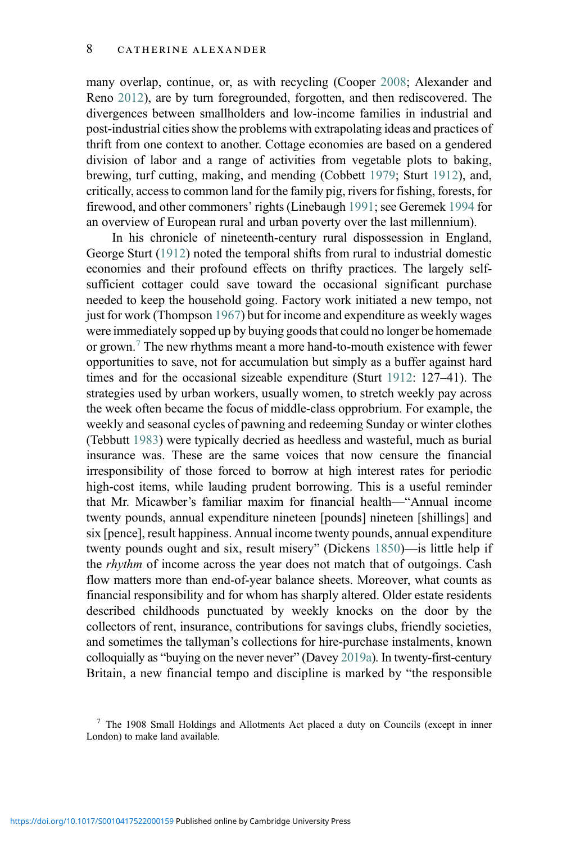many overlap, continue, or, as with recycling (Cooper [2008](#page-26-8); Alexander and Reno [2012\)](#page-25-2), are by turn foregrounded, forgotten, and then rediscovered. The divergences between smallholders and low-income families in industrial and post-industrial cities show the problems with extrapolating ideas and practices of thrift from one context to another. Cottage economies are based on a gendered division of labor and a range of activities from vegetable plots to baking, brewing, turf cutting, making, and mending (Cobbett [1979;](#page-26-11) Sturt [1912](#page-29-11)), and, critically, access to common land for the family pig, rivers for fishing, forests, for firewood, and other commoners' rights (Linebaugh [1991;](#page-28-14) see Geremek [1994](#page-27-11) for an overview of European rural and urban poverty over the last millennium).

In his chronicle of nineteenth-century rural dispossession in England, George Sturt ([1912\)](#page-29-11) noted the temporal shifts from rural to industrial domestic economies and their profound effects on thrifty practices. The largely selfsufficient cottager could save toward the occasional significant purchase needed to keep the household going. Factory work initiated a new tempo, not just for work (Thompson [1967](#page-30-5)) but for income and expenditure as weekly wages were immediately sopped up by buying goods that could no longer be homemade or grown.[7](#page-7-0) The new rhythms meant a more hand-to-mouth existence with fewer opportunities to save, not for accumulation but simply as a buffer against hard times and for the occasional sizeable expenditure (Sturt [1912](#page-29-11): 127–41). The strategies used by urban workers, usually women, to stretch weekly pay across the week often became the focus of middle-class opprobrium. For example, the weekly and seasonal cycles of pawning and redeeming Sunday or winter clothes (Tebbutt [1983](#page-30-6)) were typically decried as heedless and wasteful, much as burial insurance was. These are the same voices that now censure the financial irresponsibility of those forced to borrow at high interest rates for periodic high-cost items, while lauding prudent borrowing. This is a useful reminder that Mr. Micawber's familiar maxim for financial health—"Annual income twenty pounds, annual expenditure nineteen [pounds] nineteen [shillings] and six [pence], result happiness. Annual income twenty pounds, annual expenditure twenty pounds ought and six, result misery" (Dickens [1850\)](#page-26-12)—is little help if the *rhythm* of income across the year does not match that of outgoings. Cash flow matters more than end-of-year balance sheets. Moreover, what counts as financial responsibility and for whom has sharply altered. Older estate residents described childhoods punctuated by weekly knocks on the door by the collectors of rent, insurance, contributions for savings clubs, friendly societies, and sometimes the tallyman's collections for hire-purchase instalments, known colloquially as "buying on the never never" (Davey [2019a\)](#page-26-10). In twenty-first-century Britain, a new financial tempo and discipline is marked by "the responsible

<span id="page-7-0"></span><sup>7</sup> The 1908 Small Holdings and Allotments Act placed a duty on Councils (except in inner London) to make land available.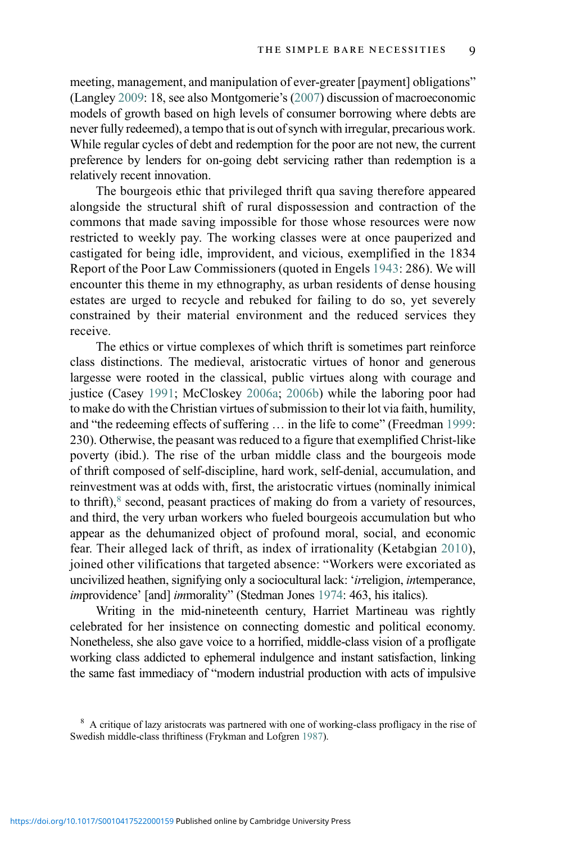meeting, management, and manipulation of ever-greater [payment] obligations" (Langley [2009](#page-28-15): 18, see also Montgomerie's [\(2007\)](#page-28-16) discussion of macroeconomic models of growth based on high levels of consumer borrowing where debts are never fully redeemed), a tempo that is out of synch with irregular, precarious work. While regular cycles of debt and redemption for the poor are not new, the current preference by lenders for on-going debt servicing rather than redemption is a relatively recent innovation.

The bourgeois ethic that privileged thrift qua saving therefore appeared alongside the structural shift of rural dispossession and contraction of the commons that made saving impossible for those whose resources were now restricted to weekly pay. The working classes were at once pauperized and castigated for being idle, improvident, and vicious, exemplified in the 1834 Report of the Poor Law Commissioners (quoted in Engels [1943:](#page-27-12) 286). We will encounter this theme in my ethnography, as urban residents of dense housing estates are urged to recycle and rebuked for failing to do so, yet severely constrained by their material environment and the reduced services they receive.

The ethics or virtue complexes of which thrift is sometimes part reinforce class distinctions. The medieval, aristocratic virtues of honor and generous largesse were rooted in the classical, public virtues along with courage and justice (Casey [1991](#page-26-13); McCloskey [2006a;](#page-28-3) [2006b](#page-28-4)) while the laboring poor had to make do with the Christian virtues of submission to their lot via faith, humility, and "the redeeming effects of suffering … in the life to come" (Freedman [1999:](#page-27-13) 230). Otherwise, the peasant was reduced to a figure that exemplified Christ-like poverty (ibid.). The rise of the urban middle class and the bourgeois mode of thrift composed of self-discipline, hard work, self-denial, accumulation, and reinvestment was at odds with, first, the aristocratic virtues (nominally inimical to thrift), $8$  second, peasant practices of making do from a variety of resources, and third, the very urban workers who fueled bourgeois accumulation but who appear as the dehumanized object of profound moral, social, and economic fear. Their alleged lack of thrift, as index of irrationality (Ketabgian [2010\)](#page-28-17), joined other vilifications that targeted absence: "Workers were excoriated as uncivilized heathen, signifying only a sociocultural lack: 'irreligion, intemperance, improvidence' [and] immorality" (Stedman Jones [1974:](#page-29-1) 463, his italics).

Writing in the mid-nineteenth century, Harriet Martineau was rightly celebrated for her insistence on connecting domestic and political economy. Nonetheless, she also gave voice to a horrified, middle-class vision of a profligate working class addicted to ephemeral indulgence and instant satisfaction, linking the same fast immediacy of "modern industrial production with acts of impulsive

<span id="page-8-0"></span><sup>&</sup>lt;sup>8</sup> A critique of lazy aristocrats was partnered with one of working-class profligacy in the rise of Swedish middle-class thriftiness (Frykman and Lofgren [1987](#page-27-14)).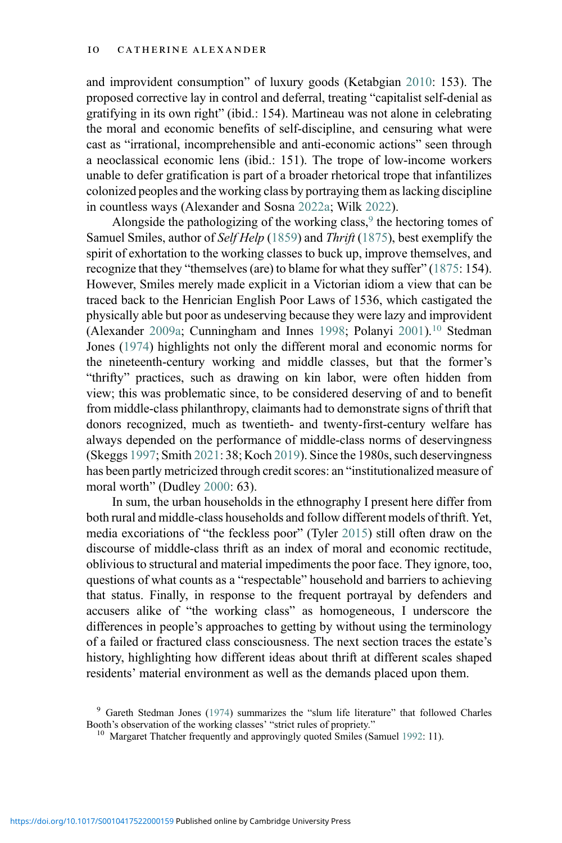and improvident consumption" of luxury goods (Ketabgian [2010](#page-28-17): 153). The proposed corrective lay in control and deferral, treating "capitalist self-denial as gratifying in its own right" (ibid.: 154). Martineau was not alone in celebrating the moral and economic benefits of self-discipline, and censuring what were cast as "irrational, incomprehensible and anti-economic actions" seen through a neoclassical economic lens (ibid.: 151). The trope of low-income workers unable to defer gratification is part of a broader rhetorical trope that infantilizes colonized peoples and the working class by portraying them as lacking discipline in countless ways (Alexander and Sosna [2022a;](#page-26-1) Wilk [2022\)](#page-30-7).

Alongside the pathologizing of the working class, $9$  the hectoring tomes of Samuel Smiles, author of Self Help ([1859\)](#page-29-12) and Thrift [\(1875](#page-29-13)), best exemplify the spirit of exhortation to the working classes to buck up, improve themselves, and recognize that they "themselves (are) to blame for what they suffer" ([1875:](#page-29-13) 154). However, Smiles merely made explicit in a Victorian idiom a view that can be traced back to the Henrician English Poor Laws of 1536, which castigated the physically able but poor as undeserving because they were lazy and improvident (Alexander [2009a](#page-25-3); Cunningham and Innes [1998](#page-26-14); Polanyi [2001](#page-29-14)).[10](#page-9-1) Stedman Jones ([1974\)](#page-29-1) highlights not only the different moral and economic norms for the nineteenth-century working and middle classes, but that the former's "thrifty" practices, such as drawing on kin labor, were often hidden from view; this was problematic since, to be considered deserving of and to benefit from middle-class philanthropy, claimants had to demonstrate signs of thrift that donors recognized, much as twentieth- and twenty-first-century welfare has always depended on the performance of middle-class norms of deservingness (Skeggs [1997;](#page-29-2) Smith [2021](#page-29-9): 38; Koch [2019\)](#page-28-11). Since the 1980s, such deservingness has been partly metricized through credit scores: an "institutionalized measure of moral worth" (Dudley [2000:](#page-27-15) 63).

In sum, the urban households in the ethnography I present here differ from both rural and middle-class households and follow different models of thrift. Yet, media excoriations of "the feckless poor" (Tyler [2015\)](#page-30-8) still often draw on the discourse of middle-class thrift as an index of moral and economic rectitude, oblivious to structural and material impediments the poor face. They ignore, too, questions of what counts as a "respectable" household and barriers to achieving that status. Finally, in response to the frequent portrayal by defenders and accusers alike of "the working class" as homogeneous, I underscore the differences in people's approaches to getting by without using the terminology of a failed or fractured class consciousness. The next section traces the estate's history, highlighting how different ideas about thrift at different scales shaped residents' material environment as well as the demands placed upon them.

<span id="page-9-1"></span><span id="page-9-0"></span> $9$  Gareth Stedman Jones ([1974\)](#page-29-1) summarizes the "slum life literature" that followed Charles Booth's observation of the working classes' "strict rules of propriety."

 $^{10}$  Margaret Thatcher frequently and approvingly quoted Smiles (Samuel [1992:](#page-29-7) 11).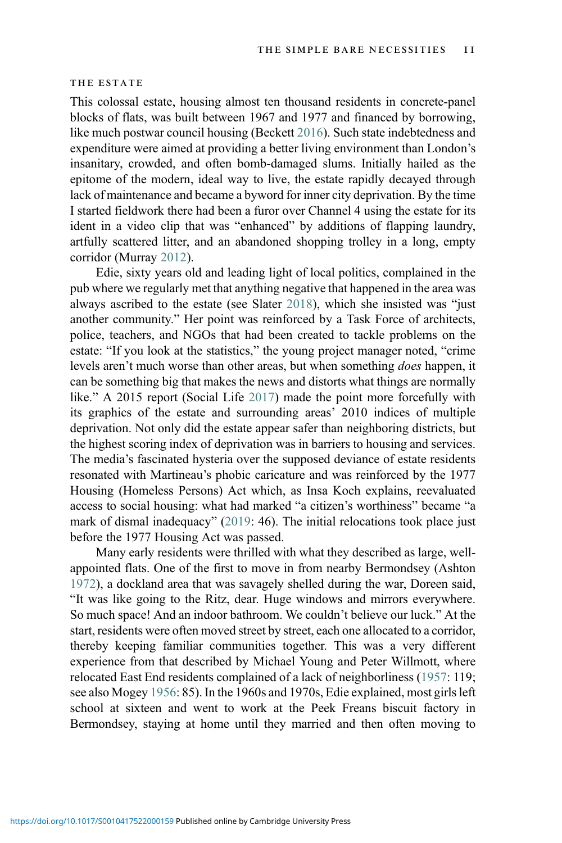### THE ESTATE

This colossal estate, housing almost ten thousand residents in concrete-panel blocks of flats, was built between 1967 and 1977 and financed by borrowing, like much postwar council housing (Beckett [2016](#page-26-15)). Such state indebtedness and expenditure were aimed at providing a better living environment than London's insanitary, crowded, and often bomb-damaged slums. Initially hailed as the epitome of the modern, ideal way to live, the estate rapidly decayed through lack of maintenance and became a byword for inner city deprivation. By the time I started fieldwork there had been a furor over Channel 4 using the estate for its ident in a video clip that was "enhanced" by additions of flapping laundry, artfully scattered litter, and an abandoned shopping trolley in a long, empty corridor (Murray [2012](#page-28-18)).

Edie, sixty years old and leading light of local politics, complained in the pub where we regularly met that anything negative that happened in the area was always ascribed to the estate (see Slater [2018](#page-29-15)), which she insisted was "just another community." Her point was reinforced by a Task Force of architects, police, teachers, and NGOs that had been created to tackle problems on the estate: "If you look at the statistics," the young project manager noted, "crime levels aren't much worse than other areas, but when something does happen, it can be something big that makes the news and distorts what things are normally like." A 2015 report (Social Life [2017](#page-29-16)) made the point more forcefully with its graphics of the estate and surrounding areas' 2010 indices of multiple deprivation. Not only did the estate appear safer than neighboring districts, but the highest scoring index of deprivation was in barriers to housing and services. The media's fascinated hysteria over the supposed deviance of estate residents resonated with Martineau's phobic caricature and was reinforced by the 1977 Housing (Homeless Persons) Act which, as Insa Koch explains, reevaluated access to social housing: what had marked "a citizen's worthiness" became "a mark of dismal inadequacy" ([2019:](#page-28-11) 46). The initial relocations took place just before the 1977 Housing Act was passed.

Many early residents were thrilled with what they described as large, wellappointed flats. One of the first to move in from nearby Bermondsey (Ashton [1972\)](#page-26-16), a dockland area that was savagely shelled during the war, Doreen said, "It was like going to the Ritz, dear. Huge windows and mirrors everywhere. So much space! And an indoor bathroom. We couldn't believe our luck." At the start, residents were often moved street by street, each one allocated to a corridor, thereby keeping familiar communities together. This was a very different experience from that described by Michael Young and Peter Willmott, where relocated East End residents complained of a lack of neighborliness ([1957](#page-30-9): 119; see also Mogey [1956](#page-28-13): 85). In the 1960s and 1970s, Edie explained, most girls left school at sixteen and went to work at the Peek Freans biscuit factory in Bermondsey, staying at home until they married and then often moving to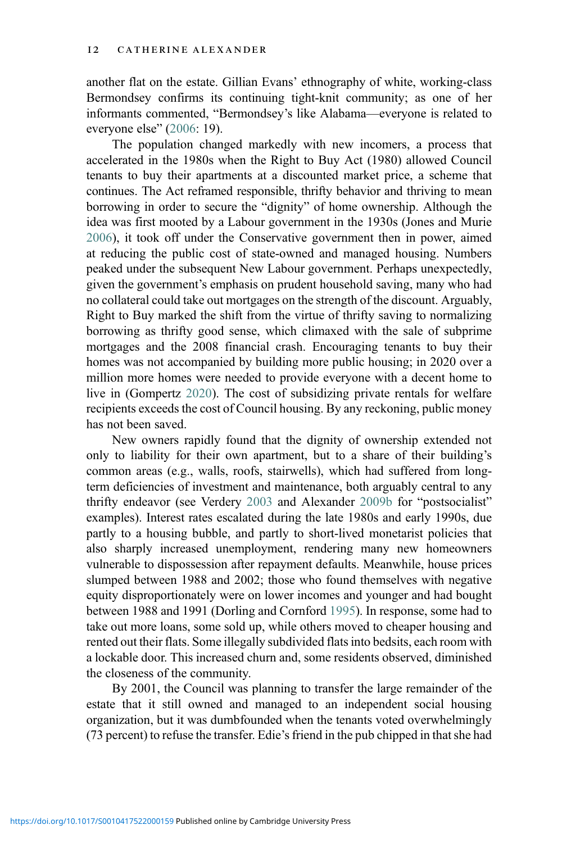another flat on the estate. Gillian Evans' ethnography of white, working-class Bermondsey confirms its continuing tight-knit community; as one of her informants commented, "Bermondsey's like Alabama—everyone is related to everyone else" ([2006](#page-27-16): 19).

The population changed markedly with new incomers, a process that accelerated in the 1980s when the Right to Buy Act (1980) allowed Council tenants to buy their apartments at a discounted market price, a scheme that continues. The Act reframed responsible, thrifty behavior and thriving to mean borrowing in order to secure the "dignity" of home ownership. Although the idea was first mooted by a Labour government in the 1930s (Jones and Murie [2006](#page-28-19)), it took off under the Conservative government then in power, aimed at reducing the public cost of state-owned and managed housing. Numbers peaked under the subsequent New Labour government. Perhaps unexpectedly, given the government's emphasis on prudent household saving, many who had no collateral could take out mortgages on the strength of the discount. Arguably, Right to Buy marked the shift from the virtue of thrifty saving to normalizing borrowing as thrifty good sense, which climaxed with the sale of subprime mortgages and the 2008 financial crash. Encouraging tenants to buy their homes was not accompanied by building more public housing; in 2020 over a million more homes were needed to provide everyone with a decent home to live in (Gompertz [2020\)](#page-27-17). The cost of subsidizing private rentals for welfare recipients exceeds the cost of Council housing. By any reckoning, public money has not been saved.

New owners rapidly found that the dignity of ownership extended not only to liability for their own apartment, but to a share of their building's common areas (e.g., walls, roofs, stairwells), which had suffered from longterm deficiencies of investment and maintenance, both arguably central to any thrifty endeavor (see Verdery [2003](#page-30-10) and Alexander [2009b](#page-25-4) for "postsocialist" examples). Interest rates escalated during the late 1980s and early 1990s, due partly to a housing bubble, and partly to short-lived monetarist policies that also sharply increased unemployment, rendering many new homeowners vulnerable to dispossession after repayment defaults. Meanwhile, house prices slumped between 1988 and 2002; those who found themselves with negative equity disproportionately were on lower incomes and younger and had bought between 1988 and 1991 (Dorling and Cornford [1995](#page-26-17)). In response, some had to take out more loans, some sold up, while others moved to cheaper housing and rented out their flats. Some illegally subdivided flats into bedsits, each room with a lockable door. This increased churn and, some residents observed, diminished the closeness of the community.

By 2001, the Council was planning to transfer the large remainder of the estate that it still owned and managed to an independent social housing organization, but it was dumbfounded when the tenants voted overwhelmingly (73 percent) to refuse the transfer. Edie's friend in the pub chipped in that she had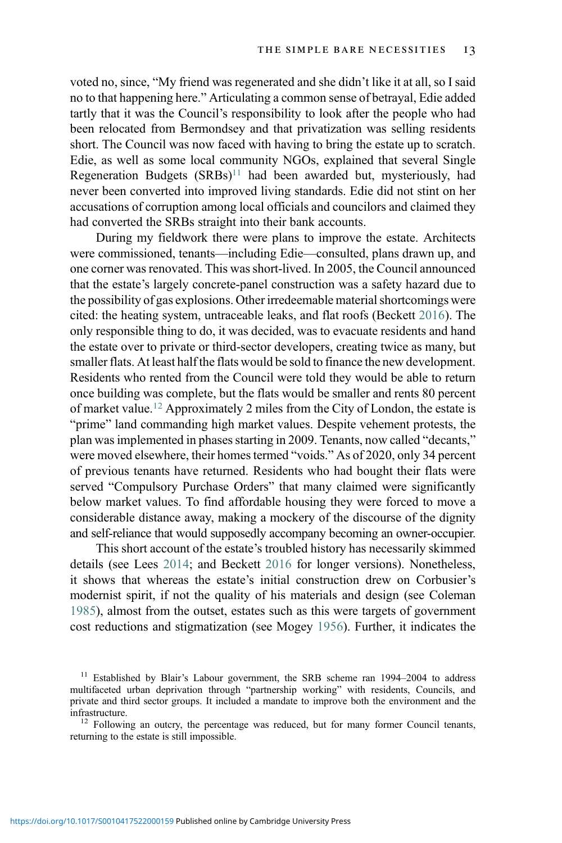voted no, since, "My friend was regenerated and she didn't like it at all, so I said no to that happening here." Articulating a common sense of betrayal, Edie added tartly that it was the Council's responsibility to look after the people who had been relocated from Bermondsey and that privatization was selling residents short. The Council was now faced with having to bring the estate up to scratch. Edie, as well as some local community NGOs, explained that several Single Regeneration Budgets  $(SRBs)^{11}$  $(SRBs)^{11}$  $(SRBs)^{11}$  had been awarded but, mysteriously, had never been converted into improved living standards. Edie did not stint on her accusations of corruption among local officials and councilors and claimed they had converted the SRBs straight into their bank accounts.

During my fieldwork there were plans to improve the estate. Architects were commissioned, tenants—including Edie—consulted, plans drawn up, and one corner was renovated. This was short-lived. In 2005, the Council announced that the estate's largely concrete-panel construction was a safety hazard due to the possibility of gas explosions. Other irredeemable material shortcomings were cited: the heating system, untraceable leaks, and flat roofs (Beckett [2016\)](#page-26-15). The only responsible thing to do, it was decided, was to evacuate residents and hand the estate over to private or third-sector developers, creating twice as many, but smaller flats. At least half the flats would be sold to finance the new development. Residents who rented from the Council were told they would be able to return once building was complete, but the flats would be smaller and rents 80 percent of market value.[12](#page-12-1) Approximately 2 miles from the City of London, the estate is "prime" land commanding high market values. Despite vehement protests, the plan was implemented in phases starting in 2009. Tenants, now called "decants," were moved elsewhere, their homes termed "voids." As of 2020, only 34 percent of previous tenants have returned. Residents who had bought their flats were served "Compulsory Purchase Orders" that many claimed were significantly below market values. To find affordable housing they were forced to move a considerable distance away, making a mockery of the discourse of the dignity and self-reliance that would supposedly accompany becoming an owner-occupier.

This short account of the estate's troubled history has necessarily skimmed details (see Lees [2014](#page-28-20); and Beckett [2016](#page-26-15) for longer versions). Nonetheless, it shows that whereas the estate's initial construction drew on Corbusier's modernist spirit, if not the quality of his materials and design (see Coleman [1985\)](#page-26-18), almost from the outset, estates such as this were targets of government cost reductions and stigmatization (see Mogey [1956\)](#page-28-13). Further, it indicates the

<span id="page-12-0"></span> $11$  Established by Blair's Labour government, the SRB scheme ran 1994–2004 to address multifaceted urban deprivation through "partnership working" with residents, Councils, and private and third sector groups. It included a mandate to improve both the environment and the infrastructure.<br><sup>12</sup> Following an outcry, the percentage was reduced, but for many former Council tenants,

<span id="page-12-1"></span>returning to the estate is still impossible.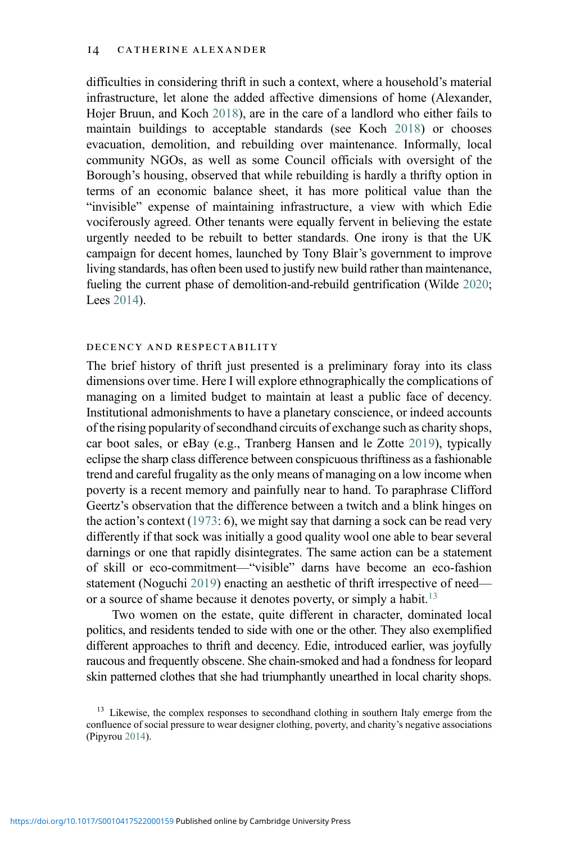difficulties in considering thrift in such a context, where a household's material infrastructure, let alone the added affective dimensions of home (Alexander, Hojer Bruun, and Koch [2018](#page-25-5)), are in the care of a landlord who either fails to maintain buildings to acceptable standards (see Koch [2018](#page-28-6)) or chooses evacuation, demolition, and rebuilding over maintenance. Informally, local community NGOs, as well as some Council officials with oversight of the Borough's housing, observed that while rebuilding is hardly a thrifty option in terms of an economic balance sheet, it has more political value than the "invisible" expense of maintaining infrastructure, a view with which Edie vociferously agreed. Other tenants were equally fervent in believing the estate urgently needed to be rebuilt to better standards. One irony is that the UK campaign for decent homes, launched by Tony Blair's government to improve living standards, has often been used to justify new build rather than maintenance, fueling the current phase of demolition-and-rebuild gentrification (Wilde [2020](#page-30-11); Lees [2014\)](#page-28-20).

## decency and respectability

The brief history of thrift just presented is a preliminary foray into its class dimensions over time. Here I will explore ethnographically the complications of managing on a limited budget to maintain at least a public face of decency. Institutional admonishments to have a planetary conscience, or indeed accounts of the rising popularity of secondhand circuits of exchange such as charity shops, car boot sales, or eBay (e.g., Tranberg Hansen and le Zotte [2019](#page-30-12)), typically eclipse the sharp class difference between conspicuous thriftiness as a fashionable trend and careful frugality as the only means of managing on a low income when poverty is a recent memory and painfully near to hand. To paraphrase Clifford Geertz's observation that the difference between a twitch and a blink hinges on the action's context [\(1973](#page-27-18): 6), we might say that darning a sock can be read very differently if that sock was initially a good quality wool one able to bear several darnings or one that rapidly disintegrates. The same action can be a statement of skill or eco-commitment—"visible" darns have become an eco-fashion statement (Noguchi [2019](#page-29-17)) enacting an aesthetic of thrift irrespective of need or a source of shame because it denotes poverty, or simply a habit.<sup>13</sup>

Two women on the estate, quite different in character, dominated local politics, and residents tended to side with one or the other. They also exemplified different approaches to thrift and decency. Edie, introduced earlier, was joyfully raucous and frequently obscene. She chain-smoked and had a fondness for leopard skin patterned clothes that she had triumphantly unearthed in local charity shops.

<span id="page-13-0"></span><sup>&</sup>lt;sup>13</sup> Likewise, the complex responses to secondhand clothing in southern Italy emerge from the confluence of social pressure to wear designer clothing, poverty, and charity's negative associations (Pipyrou [2014\)](#page-29-18).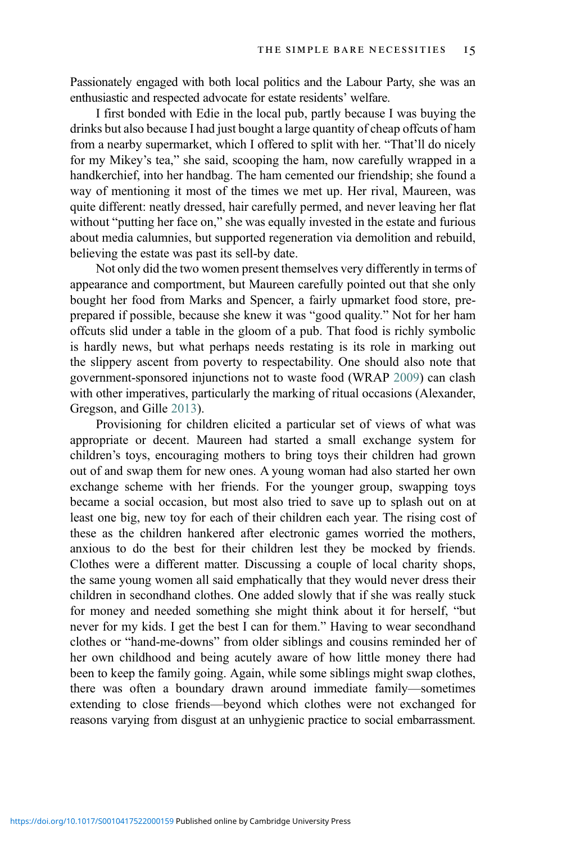Passionately engaged with both local politics and the Labour Party, she was an enthusiastic and respected advocate for estate residents' welfare.

I first bonded with Edie in the local pub, partly because I was buying the drinks but also because I had just bought a large quantity of cheap offcuts of ham from a nearby supermarket, which I offered to split with her. "That'll do nicely for my Mikey's tea," she said, scooping the ham, now carefully wrapped in a handkerchief, into her handbag. The ham cemented our friendship; she found a way of mentioning it most of the times we met up. Her rival, Maureen, was quite different: neatly dressed, hair carefully permed, and never leaving her flat without "putting her face on," she was equally invested in the estate and furious about media calumnies, but supported regeneration via demolition and rebuild, believing the estate was past its sell-by date.

Not only did the two women present themselves very differently in terms of appearance and comportment, but Maureen carefully pointed out that she only bought her food from Marks and Spencer, a fairly upmarket food store, preprepared if possible, because she knew it was "good quality." Not for her ham offcuts slid under a table in the gloom of a pub. That food is richly symbolic is hardly news, but what perhaps needs restating is its role in marking out the slippery ascent from poverty to respectability. One should also note that government-sponsored injunctions not to waste food (WRAP [2009](#page-30-13)) can clash with other imperatives, particularly the marking of ritual occasions (Alexander, Gregson, and Gille [2013](#page-25-6)).

Provisioning for children elicited a particular set of views of what was appropriate or decent. Maureen had started a small exchange system for children's toys, encouraging mothers to bring toys their children had grown out of and swap them for new ones. A young woman had also started her own exchange scheme with her friends. For the younger group, swapping toys became a social occasion, but most also tried to save up to splash out on at least one big, new toy for each of their children each year. The rising cost of these as the children hankered after electronic games worried the mothers, anxious to do the best for their children lest they be mocked by friends. Clothes were a different matter. Discussing a couple of local charity shops, the same young women all said emphatically that they would never dress their children in secondhand clothes. One added slowly that if she was really stuck for money and needed something she might think about it for herself, "but never for my kids. I get the best I can for them." Having to wear secondhand clothes or "hand-me-downs" from older siblings and cousins reminded her of her own childhood and being acutely aware of how little money there had been to keep the family going. Again, while some siblings might swap clothes, there was often a boundary drawn around immediate family—sometimes extending to close friends—beyond which clothes were not exchanged for reasons varying from disgust at an unhygienic practice to social embarrassment.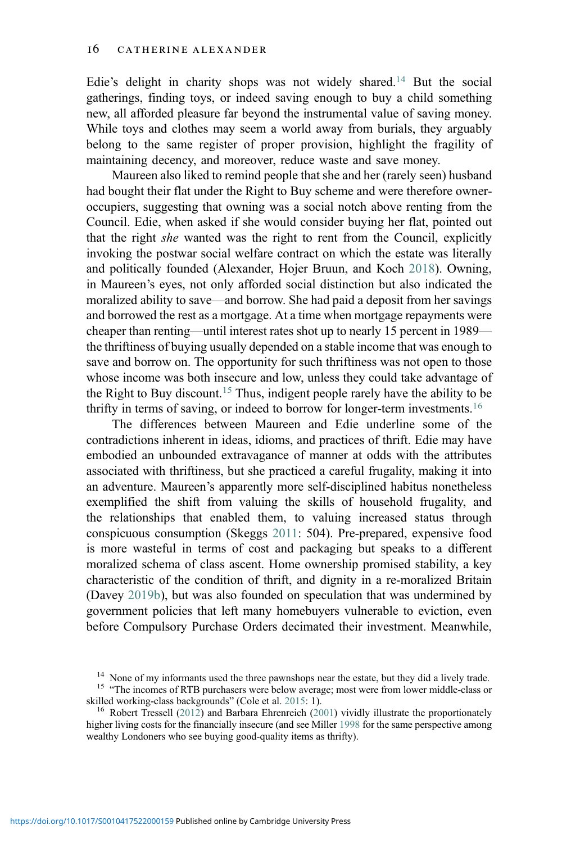Edie's delight in charity shops was not widely shared.<sup>14</sup> But the social gatherings, finding toys, or indeed saving enough to buy a child something new, all afforded pleasure far beyond the instrumental value of saving money. While toys and clothes may seem a world away from burials, they arguably belong to the same register of proper provision, highlight the fragility of maintaining decency, and moreover, reduce waste and save money.

Maureen also liked to remind people that she and her (rarely seen) husband had bought their flat under the Right to Buy scheme and were therefore owneroccupiers, suggesting that owning was a social notch above renting from the Council. Edie, when asked if she would consider buying her flat, pointed out that the right she wanted was the right to rent from the Council, explicitly invoking the postwar social welfare contract on which the estate was literally and politically founded (Alexander, Hojer Bruun, and Koch [2018](#page-28-6)). Owning, in Maureen's eyes, not only afforded social distinction but also indicated the moralized ability to save—and borrow. She had paid a deposit from her savings and borrowed the rest as a mortgage. At a time when mortgage repayments were cheaper than renting—until interest rates shot up to nearly 15 percent in 1989 the thriftiness of buying usually depended on a stable income that was enough to save and borrow on. The opportunity for such thriftiness was not open to those whose income was both insecure and low, unless they could take advantage of the Right to Buy discount.<sup>[15](#page-15-1)</sup> Thus, indigent people rarely have the ability to be thrifty in terms of saving, or indeed to borrow for longer-term investments.<sup>[16](#page-15-2)</sup>

The differences between Maureen and Edie underline some of the contradictions inherent in ideas, idioms, and practices of thrift. Edie may have embodied an unbounded extravagance of manner at odds with the attributes associated with thriftiness, but she practiced a careful frugality, making it into an adventure. Maureen's apparently more self-disciplined habitus nonetheless exemplified the shift from valuing the skills of household frugality, and the relationships that enabled them, to valuing increased status through conspicuous consumption (Skeggs [2011](#page-29-19): 504). Pre-prepared, expensive food is more wasteful in terms of cost and packaging but speaks to a different moralized schema of class ascent. Home ownership promised stability, a key characteristic of the condition of thrift, and dignity in a re-moralized Britain (Davey [2019b](#page-26-19)), but was also founded on speculation that was undermined by government policies that left many homebuyers vulnerable to eviction, even before Compulsory Purchase Orders decimated their investment. Meanwhile,

<span id="page-15-1"></span><span id="page-15-0"></span><sup>&</sup>lt;sup>14</sup> None of my informants used the three pawnshops near the estate, but they did a lively trade.<br><sup>15</sup> "The incomes of RTB purchasers were below average; most were from lower middle-class or skilled working-class backgrou

<span id="page-15-2"></span><sup>&</sup>lt;sup>16</sup> Robert Tressell [\(2012](#page-30-14)) and Barbara Ehrenreich ([2001\)](#page-27-19) vividly illustrate the proportionately higher living costs for the financially insecure (and see Miller [1998](#page-28-1) for the same perspective among wealthy Londoners who see buying good-quality items as thrifty).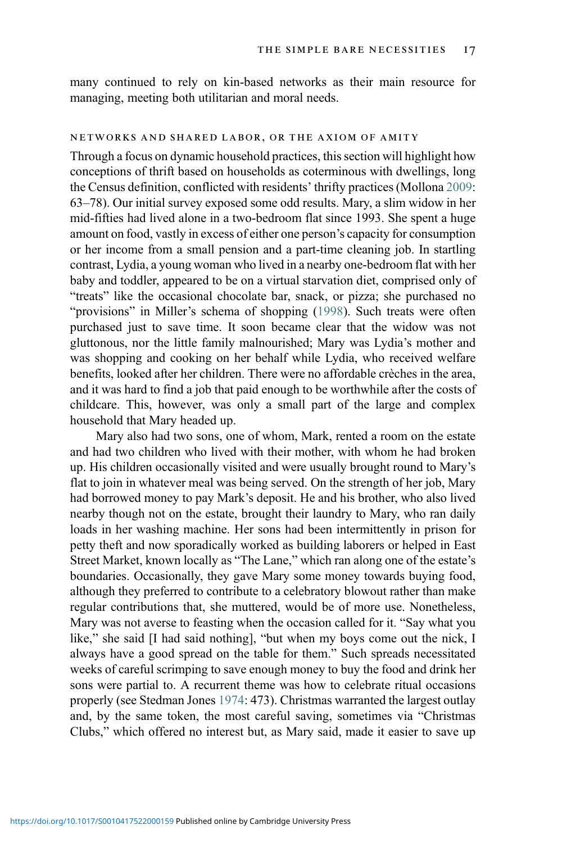many continued to rely on kin-based networks as their main resource for managing, meeting both utilitarian and moral needs.

#### networks and shared labor, or the axiom of amity

Through a focus on dynamic household practices, this section will highlight how conceptions of thrift based on households as coterminous with dwellings, long the Census definition, conflicted with residents' thrifty practices (Mollona [2009:](#page-28-10) 63–78). Our initial survey exposed some odd results. Mary, a slim widow in her mid-fifties had lived alone in a two-bedroom flat since 1993. She spent a huge amount on food, vastly in excess of either one person's capacity for consumption or her income from a small pension and a part-time cleaning job. In startling contrast, Lydia, a young woman who lived in a nearby one-bedroom flat with her baby and toddler, appeared to be on a virtual starvation diet, comprised only of "treats" like the occasional chocolate bar, snack, or pizza; she purchased no "provisions" in Miller's schema of shopping ([1998\)](#page-28-1). Such treats were often purchased just to save time. It soon became clear that the widow was not gluttonous, nor the little family malnourished; Mary was Lydia's mother and was shopping and cooking on her behalf while Lydia, who received welfare benefits, looked after her children. There were no affordable crèches in the area, and it was hard to find a job that paid enough to be worthwhile after the costs of childcare. This, however, was only a small part of the large and complex household that Mary headed up.

Mary also had two sons, one of whom, Mark, rented a room on the estate and had two children who lived with their mother, with whom he had broken up. His children occasionally visited and were usually brought round to Mary's flat to join in whatever meal was being served. On the strength of her job, Mary had borrowed money to pay Mark's deposit. He and his brother, who also lived nearby though not on the estate, brought their laundry to Mary, who ran daily loads in her washing machine. Her sons had been intermittently in prison for petty theft and now sporadically worked as building laborers or helped in East Street Market, known locally as "The Lane," which ran along one of the estate's boundaries. Occasionally, they gave Mary some money towards buying food, although they preferred to contribute to a celebratory blowout rather than make regular contributions that, she muttered, would be of more use. Nonetheless, Mary was not averse to feasting when the occasion called for it. "Say what you like," she said [I had said nothing], "but when my boys come out the nick, I always have a good spread on the table for them." Such spreads necessitated weeks of careful scrimping to save enough money to buy the food and drink her sons were partial to. A recurrent theme was how to celebrate ritual occasions properly (see Stedman Jones [1974:](#page-29-1) 473). Christmas warranted the largest outlay and, by the same token, the most careful saving, sometimes via "Christmas Clubs," which offered no interest but, as Mary said, made it easier to save up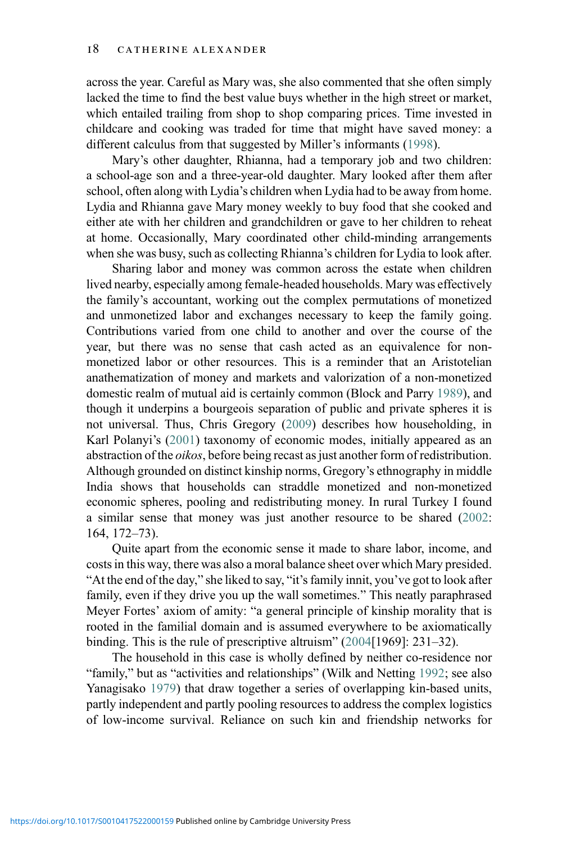across the year. Careful as Mary was, she also commented that she often simply lacked the time to find the best value buys whether in the high street or market, which entailed trailing from shop to shop comparing prices. Time invested in childcare and cooking was traded for time that might have saved money: a different calculus from that suggested by Miller's informants ([1998\)](#page-28-1).

Mary's other daughter, Rhianna, had a temporary job and two children: a school-age son and a three-year-old daughter. Mary looked after them after school, often along with Lydia's children when Lydia had to be away from home. Lydia and Rhianna gave Mary money weekly to buy food that she cooked and either ate with her children and grandchildren or gave to her children to reheat at home. Occasionally, Mary coordinated other child-minding arrangements when she was busy, such as collecting Rhianna's children for Lydia to look after.

Sharing labor and money was common across the estate when children lived nearby, especially among female-headed households. Mary was effectively the family's accountant, working out the complex permutations of monetized and unmonetized labor and exchanges necessary to keep the family going. Contributions varied from one child to another and over the course of the year, but there was no sense that cash acted as an equivalence for nonmonetized labor or other resources. This is a reminder that an Aristotelian anathematization of money and markets and valorization of a non-monetized domestic realm of mutual aid is certainly common (Block and Parry [1989\)](#page-26-21), and though it underpins a bourgeois separation of public and private spheres it is not universal. Thus, Chris Gregory ([2009\)](#page-27-20) describes how householding, in Karl Polanyi's [\(2001](#page-29-14)) taxonomy of economic modes, initially appeared as an abstraction of the oikos, before being recast as just another form of redistribution. Although grounded on distinct kinship norms, Gregory's ethnography in middle India shows that households can straddle monetized and non-monetized economic spheres, pooling and redistributing money. In rural Turkey I found a similar sense that money was just another resource to be shared ([2002](#page-25-7): 164, 172–73).

Quite apart from the economic sense it made to share labor, income, and costs in this way, there was also a moral balance sheet over which Mary presided. "At the end of the day," she liked to say, "it's family innit, you've got to look after family, even if they drive you up the wall sometimes." This neatly paraphrased Meyer Fortes' axiom of amity: "a general principle of kinship morality that is rooted in the familial domain and is assumed everywhere to be axiomatically binding. This is the rule of prescriptive altruism" ([2004](#page-27-21)[1969]: 231–32).

The household in this case is wholly defined by neither co-residence nor "family," but as "activities and relationships" (Wilk and Netting [1992;](#page-30-15) see also Yanagisako [1979](#page-30-16)) that draw together a series of overlapping kin-based units, partly independent and partly pooling resources to address the complex logistics of low-income survival. Reliance on such kin and friendship networks for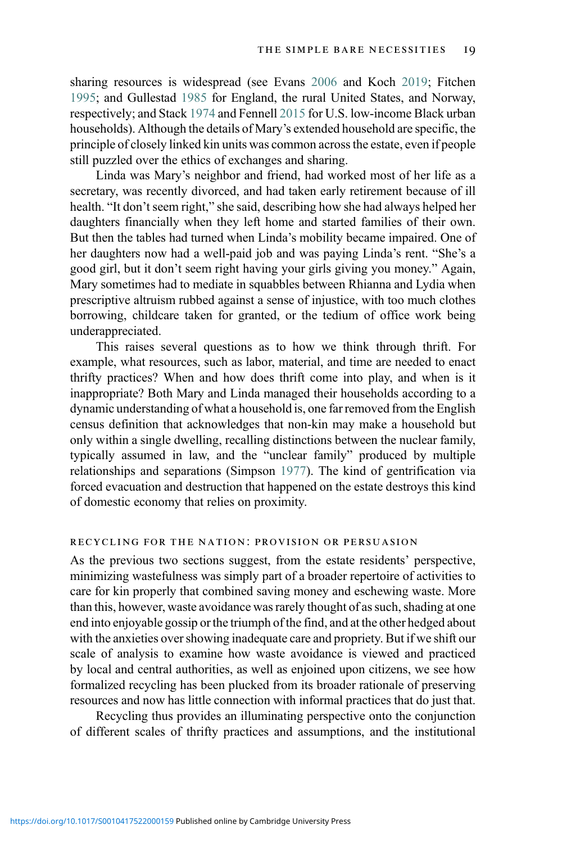sharing resources is widespread (see Evans [2006](#page-27-16) and Koch [2019;](#page-28-11) Fitchen [1995;](#page-27-22) and Gullestad [1985](#page-27-23) for England, the rural United States, and Norway, respectively; and Stack [1974](#page-29-10) and Fennell [2015](#page-27-5) for U.S. low-income Black urban households). Although the details of Mary's extended household are specific, the principle of closely linked kin units was common across the estate, even if people still puzzled over the ethics of exchanges and sharing.

Linda was Mary's neighbor and friend, had worked most of her life as a secretary, was recently divorced, and had taken early retirement because of ill health. "It don't seem right," she said, describing how she had always helped her daughters financially when they left home and started families of their own. But then the tables had turned when Linda's mobility became impaired. One of her daughters now had a well-paid job and was paying Linda's rent. "She's a good girl, but it don't seem right having your girls giving you money." Again, Mary sometimes had to mediate in squabbles between Rhianna and Lydia when prescriptive altruism rubbed against a sense of injustice, with too much clothes borrowing, childcare taken for granted, or the tedium of office work being underappreciated.

This raises several questions as to how we think through thrift. For example, what resources, such as labor, material, and time are needed to enact thrifty practices? When and how does thrift come into play, and when is it inappropriate? Both Mary and Linda managed their households according to a dynamic understanding of what a household is, one far removed from the English census definition that acknowledges that non-kin may make a household but only within a single dwelling, recalling distinctions between the nuclear family, typically assumed in law, and the "unclear family" produced by multiple relationships and separations (Simpson [1977](#page-29-20)). The kind of gentrification via forced evacuation and destruction that happened on the estate destroys this kind of domestic economy that relies on proximity.

## recycling for the nation: provision or persuasion

As the previous two sections suggest, from the estate residents' perspective, minimizing wastefulness was simply part of a broader repertoire of activities to care for kin properly that combined saving money and eschewing waste. More than this, however, waste avoidance was rarely thought of as such, shading at one end into enjoyable gossip or the triumph of the find, and at the other hedged about with the anxieties over showing inadequate care and propriety. But if we shift our scale of analysis to examine how waste avoidance is viewed and practiced by local and central authorities, as well as enjoined upon citizens, we see how formalized recycling has been plucked from its broader rationale of preserving resources and now has little connection with informal practices that do just that.

Recycling thus provides an illuminating perspective onto the conjunction of different scales of thrifty practices and assumptions, and the institutional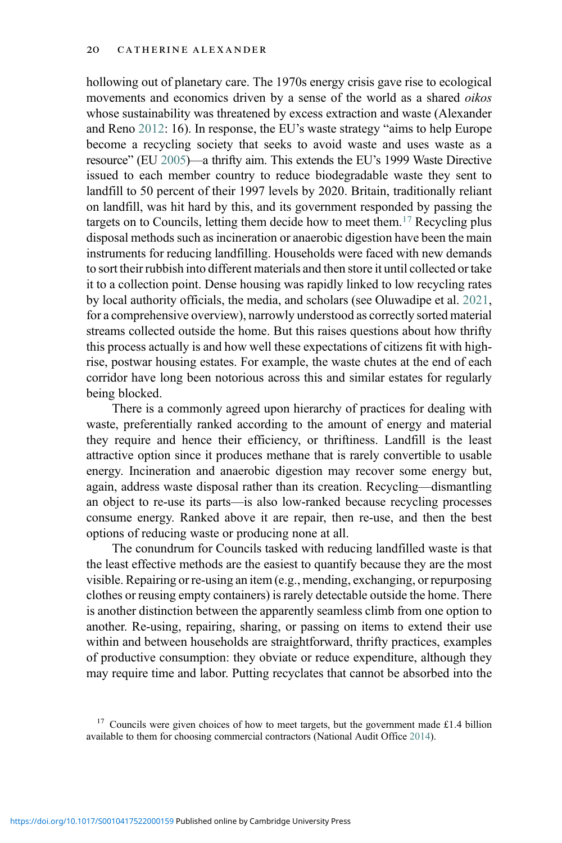hollowing out of planetary care. The 1970s energy crisis gave rise to ecological movements and economics driven by a sense of the world as a shared oikos whose sustainability was threatened by excess extraction and waste (Alexander and Reno [2012](#page-25-2): 16). In response, the EU's waste strategy "aims to help Europe become a recycling society that seeks to avoid waste and uses waste as a resource" (EU [2005\)](#page-27-24)—a thrifty aim. This extends the EU's 1999 Waste Directive issued to each member country to reduce biodegradable waste they sent to landfill to 50 percent of their 1997 levels by 2020. Britain, traditionally reliant on landfill, was hit hard by this, and its government responded by passing the targets on to Councils, letting them decide how to meet them.<sup>[17](#page-19-0)</sup> Recycling plus disposal methods such as incineration or anaerobic digestion have been the main instruments for reducing landfilling. Households were faced with new demands to sort their rubbish into different materials and then store it until collected or take it to a collection point. Dense housing was rapidly linked to low recycling rates by local authority officials, the media, and scholars (see Oluwadipe et al. [2021,](#page-29-21) for a comprehensive overview), narrowly understood as correctly sorted material streams collected outside the home. But this raises questions about how thrifty this process actually is and how well these expectations of citizens fit with highrise, postwar housing estates. For example, the waste chutes at the end of each corridor have long been notorious across this and similar estates for regularly being blocked.

There is a commonly agreed upon hierarchy of practices for dealing with waste, preferentially ranked according to the amount of energy and material they require and hence their efficiency, or thriftiness. Landfill is the least attractive option since it produces methane that is rarely convertible to usable energy. Incineration and anaerobic digestion may recover some energy but, again, address waste disposal rather than its creation. Recycling—dismantling an object to re-use its parts—is also low-ranked because recycling processes consume energy. Ranked above it are repair, then re-use, and then the best options of reducing waste or producing none at all.

The conundrum for Councils tasked with reducing landfilled waste is that the least effective methods are the easiest to quantify because they are the most visible. Repairing or re-using an item (e.g., mending, exchanging, or repurposing clothes or reusing empty containers) is rarely detectable outside the home. There is another distinction between the apparently seamless climb from one option to another. Re-using, repairing, sharing, or passing on items to extend their use within and between households are straightforward, thrifty practices, examples of productive consumption: they obviate or reduce expenditure, although they may require time and labor. Putting recyclates that cannot be absorbed into the

<span id="page-19-0"></span> $17$  Councils were given choices of how to meet targets, but the government made £1.4 billion available to them for choosing commercial contractors (National Audit Office [2014\)](#page-29-22).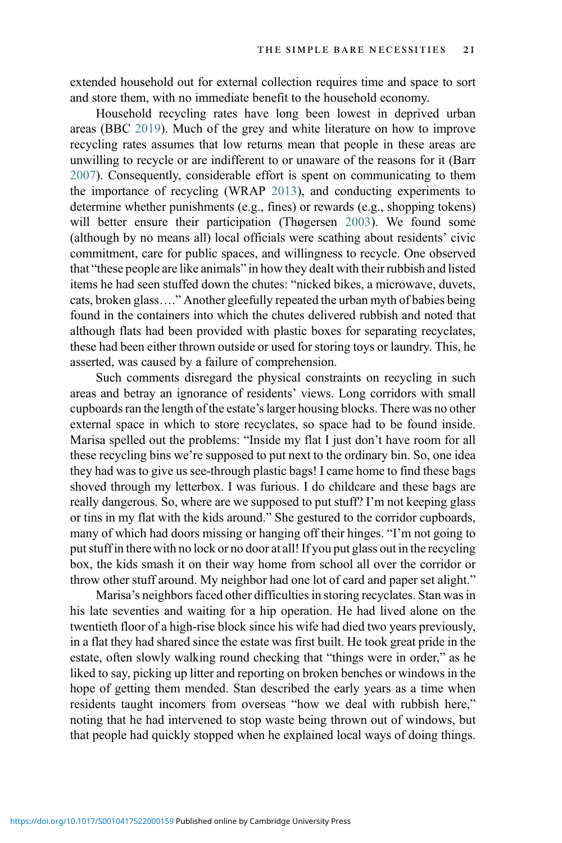extended household out for external collection requires time and space to sort and store them, with no immediate benefit to the household economy.

Household recycling rates have long been lowest in deprived urban areas (BBC [2019\)](#page-26-22). Much of the grey and white literature on how to improve recycling rates assumes that low returns mean that people in these areas are unwilling to recycle or are indifferent to or unaware of the reasons for it (Barr [2007\)](#page-26-23). Consequently, considerable effort is spent on communicating to them the importance of recycling (WRAP [2013](#page-30-17)), and conducting experiments to determine whether punishments (e.g., fines) or rewards (e.g., shopping tokens) will better ensure their participation (Thøgersen [2003](#page-30-18)). We found some (although by no means all) local officials were scathing about residents' civic commitment, care for public spaces, and willingness to recycle. One observed that "these people are like animals" in how they dealt with their rubbish and listed items he had seen stuffed down the chutes: "nicked bikes, a microwave, duvets, cats, broken glass…." Another gleefully repeated the urban myth of babies being found in the containers into which the chutes delivered rubbish and noted that although flats had been provided with plastic boxes for separating recyclates, these had been either thrown outside or used for storing toys or laundry. This, he asserted, was caused by a failure of comprehension.

Such comments disregard the physical constraints on recycling in such areas and betray an ignorance of residents' views. Long corridors with small cupboards ran the length of the estate's larger housing blocks. There was no other external space in which to store recyclates, so space had to be found inside. Marisa spelled out the problems: "Inside my flat I just don't have room for all these recycling bins we're supposed to put next to the ordinary bin. So, one idea they had was to give us see-through plastic bags! I came home to find these bags shoved through my letterbox. I was furious. I do childcare and these bags are really dangerous. So, where are we supposed to put stuff? I'm not keeping glass or tins in my flat with the kids around." She gestured to the corridor cupboards, many of which had doors missing or hanging off their hinges. "I'm not going to put stuff in there with no lock or no door at all! If you put glass out in the recycling box, the kids smash it on their way home from school all over the corridor or throw other stuff around. My neighbor had one lot of card and paper set alight."

Marisa's neighbors faced other difficulties in storing recyclates. Stan was in his late seventies and waiting for a hip operation. He had lived alone on the twentieth floor of a high-rise block since his wife had died two years previously, in a flat they had shared since the estate was first built. He took great pride in the estate, often slowly walking round checking that "things were in order," as he liked to say, picking up litter and reporting on broken benches or windows in the hope of getting them mended. Stan described the early years as a time when residents taught incomers from overseas "how we deal with rubbish here," noting that he had intervened to stop waste being thrown out of windows, but that people had quickly stopped when he explained local ways of doing things.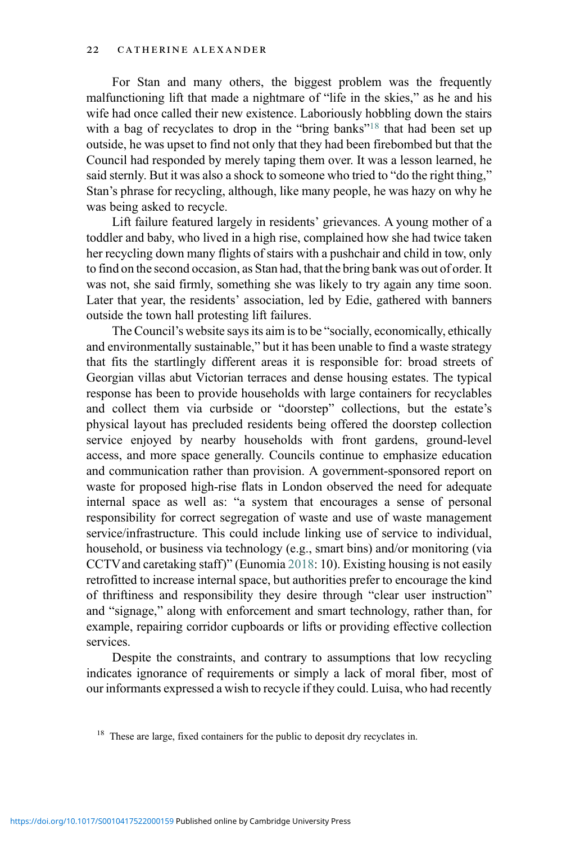For Stan and many others, the biggest problem was the frequently malfunctioning lift that made a nightmare of "life in the skies," as he and his wife had once called their new existence. Laboriously hobbling down the stairs with a bag of recyclates to drop in the "bring banks"<sup>[18](#page-21-0)</sup> that had been set up outside, he was upset to find not only that they had been firebombed but that the Council had responded by merely taping them over. It was a lesson learned, he said sternly. But it was also a shock to someone who tried to "do the right thing," Stan's phrase for recycling, although, like many people, he was hazy on why he was being asked to recycle.

Lift failure featured largely in residents' grievances. A young mother of a toddler and baby, who lived in a high rise, complained how she had twice taken her recycling down many flights of stairs with a pushchair and child in tow, only to find on the second occasion, as Stan had, that the bring bank was out of order. It was not, she said firmly, something she was likely to try again any time soon. Later that year, the residents' association, led by Edie, gathered with banners outside the town hall protesting lift failures.

The Council's website says its aim is to be "socially, economically, ethically and environmentally sustainable," but it has been unable to find a waste strategy that fits the startlingly different areas it is responsible for: broad streets of Georgian villas abut Victorian terraces and dense housing estates. The typical response has been to provide households with large containers for recyclables and collect them via curbside or "doorstep" collections, but the estate's physical layout has precluded residents being offered the doorstep collection service enjoyed by nearby households with front gardens, ground-level access, and more space generally. Councils continue to emphasize education and communication rather than provision. A government-sponsored report on waste for proposed high-rise flats in London observed the need for adequate internal space as well as: "a system that encourages a sense of personal responsibility for correct segregation of waste and use of waste management service/infrastructure. This could include linking use of service to individual, household, or business via technology (e.g., smart bins) and/or monitoring (via CCTVand caretaking staff)" (Eunomia [2018](#page-27-25): 10). Existing housing is not easily retrofitted to increase internal space, but authorities prefer to encourage the kind of thriftiness and responsibility they desire through "clear user instruction" and "signage," along with enforcement and smart technology, rather than, for example, repairing corridor cupboards or lifts or providing effective collection services.

Despite the constraints, and contrary to assumptions that low recycling indicates ignorance of requirements or simply a lack of moral fiber, most of our informants expressed a wish to recycle if they could. Luisa, who had recently

<span id="page-21-0"></span><sup>&</sup>lt;sup>18</sup> These are large, fixed containers for the public to deposit dry recyclates in.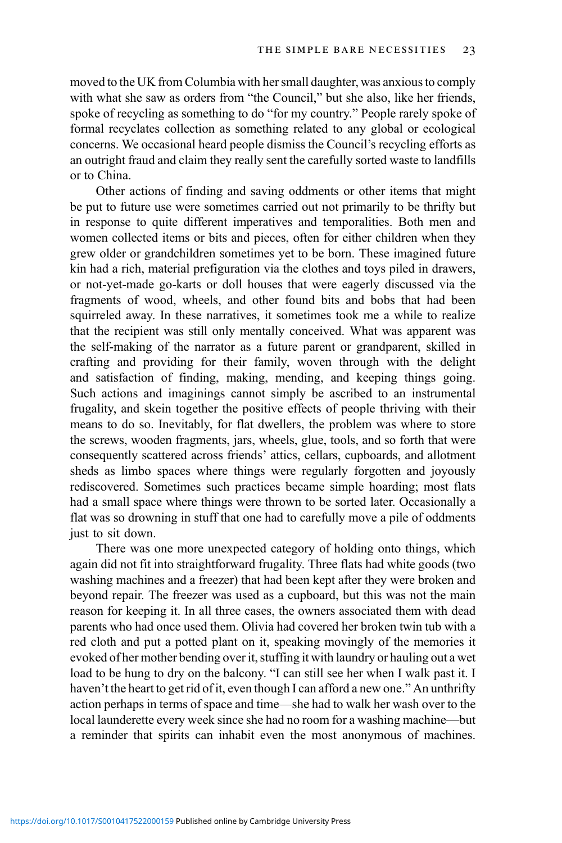moved to the UK from Columbia with her small daughter, was anxious to comply with what she saw as orders from "the Council," but she also, like her friends, spoke of recycling as something to do "for my country." People rarely spoke of formal recyclates collection as something related to any global or ecological concerns. We occasional heard people dismiss the Council's recycling efforts as an outright fraud and claim they really sent the carefully sorted waste to landfills or to China.

Other actions of finding and saving oddments or other items that might be put to future use were sometimes carried out not primarily to be thrifty but in response to quite different imperatives and temporalities. Both men and women collected items or bits and pieces, often for either children when they grew older or grandchildren sometimes yet to be born. These imagined future kin had a rich, material prefiguration via the clothes and toys piled in drawers, or not-yet-made go-karts or doll houses that were eagerly discussed via the fragments of wood, wheels, and other found bits and bobs that had been squirreled away. In these narratives, it sometimes took me a while to realize that the recipient was still only mentally conceived. What was apparent was the self-making of the narrator as a future parent or grandparent, skilled in crafting and providing for their family, woven through with the delight and satisfaction of finding, making, mending, and keeping things going. Such actions and imaginings cannot simply be ascribed to an instrumental frugality, and skein together the positive effects of people thriving with their means to do so. Inevitably, for flat dwellers, the problem was where to store the screws, wooden fragments, jars, wheels, glue, tools, and so forth that were consequently scattered across friends' attics, cellars, cupboards, and allotment sheds as limbo spaces where things were regularly forgotten and joyously rediscovered. Sometimes such practices became simple hoarding; most flats had a small space where things were thrown to be sorted later. Occasionally a flat was so drowning in stuff that one had to carefully move a pile of oddments just to sit down.

There was one more unexpected category of holding onto things, which again did not fit into straightforward frugality. Three flats had white goods (two washing machines and a freezer) that had been kept after they were broken and beyond repair. The freezer was used as a cupboard, but this was not the main reason for keeping it. In all three cases, the owners associated them with dead parents who had once used them. Olivia had covered her broken twin tub with a red cloth and put a potted plant on it, speaking movingly of the memories it evoked of her mother bending over it, stuffing it with laundry or hauling out a wet load to be hung to dry on the balcony. "I can still see her when I walk past it. I haven't the heart to get rid of it, even though I can afford a new one." An unthrifty action perhaps in terms of space and time—she had to walk her wash over to the local launderette every week since she had no room for a washing machine—but a reminder that spirits can inhabit even the most anonymous of machines.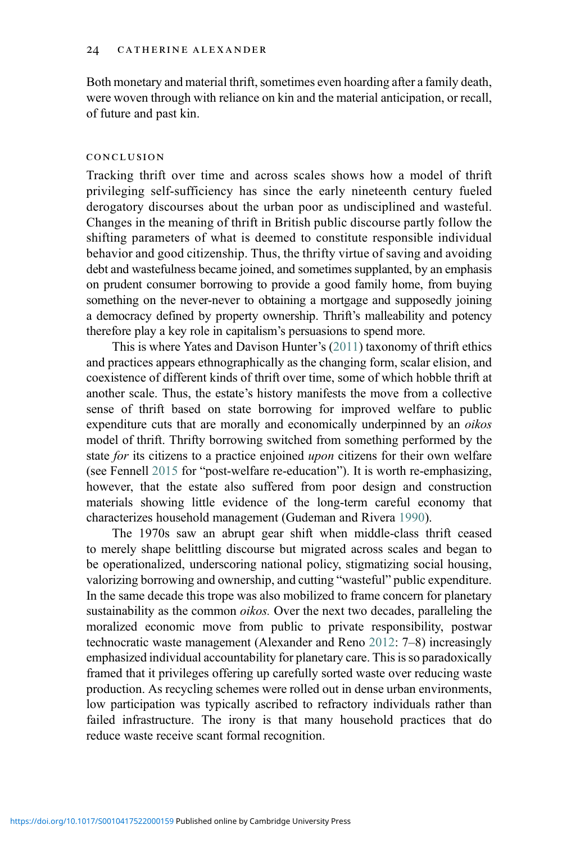Both monetary and material thrift, sometimes even hoarding after a family death, were woven through with reliance on kin and the material anticipation, or recall, of future and past kin.

## conclusion

Tracking thrift over time and across scales shows how a model of thrift privileging self-sufficiency has since the early nineteenth century fueled derogatory discourses about the urban poor as undisciplined and wasteful. Changes in the meaning of thrift in British public discourse partly follow the shifting parameters of what is deemed to constitute responsible individual behavior and good citizenship. Thus, the thrifty virtue of saving and avoiding debt and wastefulness became joined, and sometimes supplanted, by an emphasis on prudent consumer borrowing to provide a good family home, from buying something on the never-never to obtaining a mortgage and supposedly joining a democracy defined by property ownership. Thrift's malleability and potency therefore play a key role in capitalism's persuasions to spend more.

This is where Yates and Davison Hunter's [\(2011\)](#page-30-1) taxonomy of thrift ethics and practices appears ethnographically as the changing form, scalar elision, and coexistence of different kinds of thrift over time, some of which hobble thrift at another scale. Thus, the estate's history manifests the move from a collective sense of thrift based on state borrowing for improved welfare to public expenditure cuts that are morally and economically underpinned by an *oikos* model of thrift. Thrifty borrowing switched from something performed by the state for its citizens to a practice enjoined upon citizens for their own welfare (see Fennell [2015](#page-27-5) for "post-welfare re-education"). It is worth re-emphasizing, however, that the estate also suffered from poor design and construction materials showing little evidence of the long-term careful economy that characterizes household management (Gudeman and Rivera [1990](#page-27-4)).

The 1970s saw an abrupt gear shift when middle-class thrift ceased to merely shape belittling discourse but migrated across scales and began to be operationalized, underscoring national policy, stigmatizing social housing, valorizing borrowing and ownership, and cutting "wasteful" public expenditure. In the same decade this trope was also mobilized to frame concern for planetary sustainability as the common *oikos*. Over the next two decades, paralleling the moralized economic move from public to private responsibility, postwar technocratic waste management (Alexander and Reno [2012:](#page-25-2) 7–8) increasingly emphasized individual accountability for planetary care. This is so paradoxically framed that it privileges offering up carefully sorted waste over reducing waste production. As recycling schemes were rolled out in dense urban environments, low participation was typically ascribed to refractory individuals rather than failed infrastructure. The irony is that many household practices that do reduce waste receive scant formal recognition.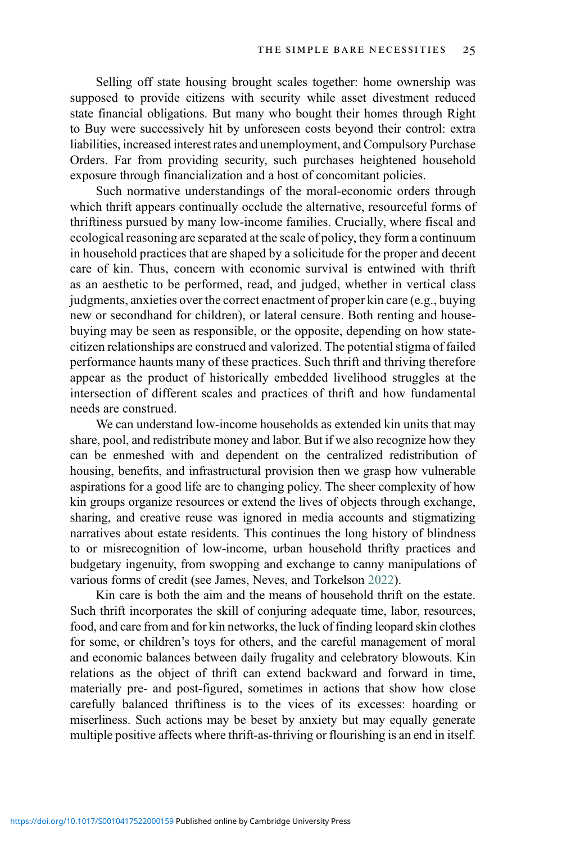Selling off state housing brought scales together: home ownership was supposed to provide citizens with security while asset divestment reduced state financial obligations. But many who bought their homes through Right to Buy were successively hit by unforeseen costs beyond their control: extra liabilities, increased interest rates and unemployment, and Compulsory Purchase Orders. Far from providing security, such purchases heightened household exposure through financialization and a host of concomitant policies.

Such normative understandings of the moral-economic orders through which thrift appears continually occlude the alternative, resourceful forms of thriftiness pursued by many low-income families. Crucially, where fiscal and ecological reasoning are separated at the scale of policy, they form a continuum in household practices that are shaped by a solicitude for the proper and decent care of kin. Thus, concern with economic survival is entwined with thrift as an aesthetic to be performed, read, and judged, whether in vertical class judgments, anxieties over the correct enactment of proper kin care (e.g., buying new or secondhand for children), or lateral censure. Both renting and housebuying may be seen as responsible, or the opposite, depending on how statecitizen relationships are construed and valorized. The potential stigma of failed performance haunts many of these practices. Such thrift and thriving therefore appear as the product of historically embedded livelihood struggles at the intersection of different scales and practices of thrift and how fundamental needs are construed.

We can understand low-income households as extended kin units that may share, pool, and redistribute money and labor. But if we also recognize how they can be enmeshed with and dependent on the centralized redistribution of housing, benefits, and infrastructural provision then we grasp how vulnerable aspirations for a good life are to changing policy. The sheer complexity of how kin groups organize resources or extend the lives of objects through exchange, sharing, and creative reuse was ignored in media accounts and stigmatizing narratives about estate residents. This continues the long history of blindness to or misrecognition of low-income, urban household thrifty practices and budgetary ingenuity, from swopping and exchange to canny manipulations of various forms of credit (see James, Neves, and Torkelson [2022\)](#page-28-21).

Kin care is both the aim and the means of household thrift on the estate. Such thrift incorporates the skill of conjuring adequate time, labor, resources, food, and care from and for kin networks, the luck of finding leopard skin clothes for some, or children's toys for others, and the careful management of moral and economic balances between daily frugality and celebratory blowouts. Kin relations as the object of thrift can extend backward and forward in time, materially pre- and post-figured, sometimes in actions that show how close carefully balanced thriftiness is to the vices of its excesses: hoarding or miserliness. Such actions may be beset by anxiety but may equally generate multiple positive affects where thrift-as-thriving or flourishing is an end in itself.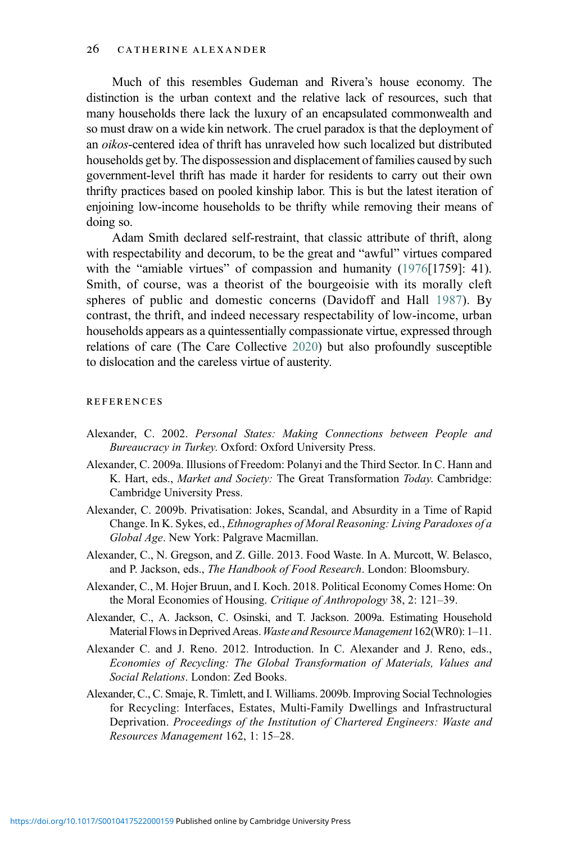Much of this resembles Gudeman and Rivera's house economy. The distinction is the urban context and the relative lack of resources, such that many households there lack the luxury of an encapsulated commonwealth and so must draw on a wide kin network. The cruel paradox is that the deployment of an oikos-centered idea of thrift has unraveled how such localized but distributed households get by. The dispossession and displacement of families caused by such government-level thrift has made it harder for residents to carry out their own thrifty practices based on pooled kinship labor. This is but the latest iteration of enjoining low-income households to be thrifty while removing their means of doing so.

Adam Smith declared self-restraint, that classic attribute of thrift, along with respectability and decorum, to be the great and "awful" virtues compared with the "amiable virtues" of compassion and humanity ([1976\[](#page-29-23)1759]: 41). Smith, of course, was a theorist of the bourgeoisie with its morally cleft spheres of public and domestic concerns (Davidoff and Hall [1987](#page-26-24)). By contrast, the thrift, and indeed necessary respectability of low-income, urban households appears as a quintessentially compassionate virtue, expressed through relations of care (The Care Collective [2020](#page-30-19)) but also profoundly susceptible to dislocation and the careless virtue of austerity.

#### **REFERENCES**

- <span id="page-25-7"></span>Alexander, C. 2002. Personal States: Making Connections between People and Bureaucracy in Turkey. Oxford: Oxford University Press.
- <span id="page-25-3"></span>Alexander, C. 2009a. Illusions of Freedom: Polanyi and the Third Sector. In C. Hann and K. Hart, eds., Market and Society: The Great Transformation Today. Cambridge: Cambridge University Press.
- <span id="page-25-4"></span>Alexander, C. 2009b. Privatisation: Jokes, Scandal, and Absurdity in a Time of Rapid Change. In K. Sykes, ed., Ethnographes of Moral Reasoning: Living Paradoxes of a Global Age. New York: Palgrave Macmillan.
- <span id="page-25-6"></span><span id="page-25-5"></span>Alexander, C., N. Gregson, and Z. Gille. 2013. Food Waste. In A. Murcott, W. Belasco, and P. Jackson, eds., The Handbook of Food Research. London: Bloomsbury.
- <span id="page-25-0"></span>Alexander, C., M. Hojer Bruun, and I. Koch. 2018. Political Economy Comes Home: On the Moral Economies of Housing. Critique of Anthropology 38, 2: 121–39.
- <span id="page-25-2"></span>Alexander, C., A. Jackson, C. Osinski, and T. Jackson. 2009a. Estimating Household Material Flows in Deprived Areas. Waste and Resource Management 162(WR0): 1-11.
- <span id="page-25-1"></span>Alexander C. and J. Reno. 2012. Introduction. In C. Alexander and J. Reno, eds., Economies of Recycling: The Global Transformation of Materials, Values and Social Relations. London: Zed Books.
- Alexander, C., C. Smaje, R. Timlett, and I. Williams. 2009b. Improving Social Technologies for Recycling: Interfaces, Estates, Multi-Family Dwellings and Infrastructural Deprivation. Proceedings of the Institution of Chartered Engineers: Waste and Resources Management 162, 1: 15–28.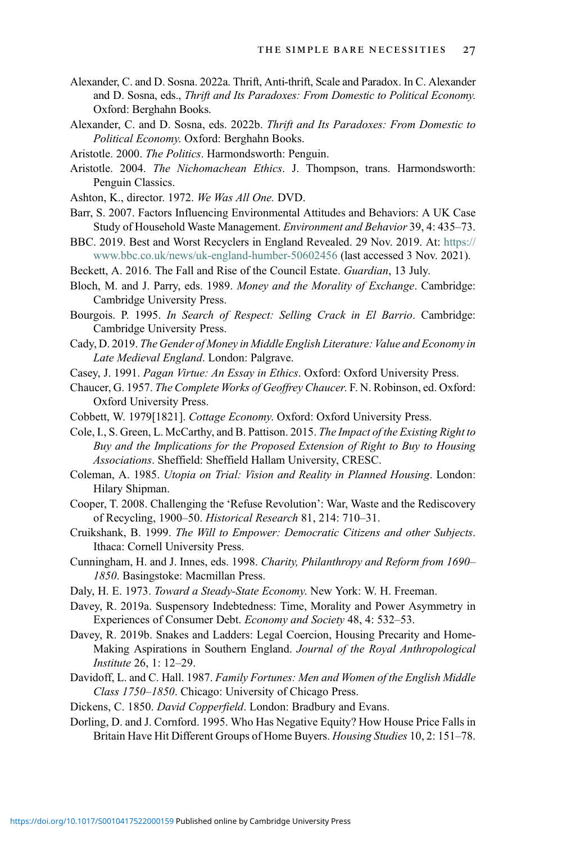- <span id="page-26-1"></span>Alexander, C. and D. Sosna. 2022a. Thrift, Anti-thrift, Scale and Paradox. In C. Alexander and D. Sosna, eds., Thrift and Its Paradoxes: From Domestic to Political Economy. Oxford: Berghahn Books.
- <span id="page-26-2"></span>Alexander, C. and D. Sosna, eds. 2022b. Thrift and Its Paradoxes: From Domestic to Political Economy. Oxford: Berghahn Books.
- <span id="page-26-9"></span><span id="page-26-3"></span>Aristotle. 2000. The Politics. Harmondsworth: Penguin.
- Aristotle. 2004. The Nichomachean Ethics. J. Thompson, trans. Harmondsworth: Penguin Classics.
- <span id="page-26-23"></span><span id="page-26-16"></span>Ashton, K., director. 1972. We Was All One. DVD.
- Barr, S. 2007. Factors Influencing Environmental Attitudes and Behaviors: A UK Case Study of Household Waste Management. Environment and Behavior 39, 4: 435–73.
- <span id="page-26-22"></span>BBC. 2019. Best and Worst Recyclers in England Revealed. 29 Nov. 2019. At: [https://](https://www.bbc.co.uk/news/uk-england-humber-50602456) [www.bbc.co.uk/news/uk-england-humber-50602456](https://www.bbc.co.uk/news/uk-england-humber-50602456) (last accessed 3 Nov. 2021).
- <span id="page-26-21"></span><span id="page-26-15"></span>Beckett, A. 2016. The Fall and Rise of the Council Estate. Guardian, 13 July.
- Bloch, M. and J. Parry, eds. 1989. Money and the Morality of Exchange. Cambridge: Cambridge University Press.
- <span id="page-26-6"></span><span id="page-26-0"></span>Bourgois. P. 1995. In Search of Respect: Selling Crack in El Barrio. Cambridge: Cambridge University Press.
- <span id="page-26-13"></span>Cady, D. 2019. The Gender of Money in Middle English Literature: Value and Economy in Late Medieval England. London: Palgrave.
- <span id="page-26-5"></span>Casey, J. 1991. Pagan Virtue: An Essay in Ethics. Oxford: Oxford University Press.
- <span id="page-26-11"></span>Chaucer, G. 1957. The Complete Works of Geoffrey Chaucer. F. N. Robinson, ed. Oxford: Oxford University Press.
- <span id="page-26-20"></span>Cobbett, W. 1979[1821]. Cottage Economy. Oxford: Oxford University Press.
- <span id="page-26-18"></span>Cole, I., S. Green, L. McCarthy, and B. Pattison. 2015. The Impact of the Existing Right to Buy and the Implications for the Proposed Extension of Right to Buy to Housing Associations. Sheffield: Sheffield Hallam University, CRESC.
- <span id="page-26-8"></span>Coleman, A. 1985. Utopia on Trial: Vision and Reality in Planned Housing. London: Hilary Shipman.
- <span id="page-26-7"></span>Cooper, T. 2008. Challenging the 'Refuse Revolution': War, Waste and the Rediscovery of Recycling, 1900–50. Historical Research 81, 214: 710–31.
- <span id="page-26-14"></span>Cruikshank, B. 1999. The Will to Empower: Democratic Citizens and other Subjects. Ithaca: Cornell University Press.
- <span id="page-26-4"></span>Cunningham, H. and J. Innes, eds. 1998. Charity, Philanthropy and Reform from 1690– 1850. Basingstoke: Macmillan Press.
- <span id="page-26-10"></span>Daly, H. E. 1973. Toward a Steady-State Economy. New York: W. H. Freeman.
- <span id="page-26-19"></span>Davey, R. 2019a. Suspensory Indebtedness: Time, Morality and Power Asymmetry in Experiences of Consumer Debt. Economy and Society 48, 4: 532–53.
- <span id="page-26-24"></span>Davey, R. 2019b. Snakes and Ladders: Legal Coercion, Housing Precarity and Home-Making Aspirations in Southern England. Journal of the Royal Anthropological Institute 26, 1: 12–29.
- <span id="page-26-17"></span><span id="page-26-12"></span>Davidoff, L. and C. Hall. 1987. Family Fortunes: Men and Women of the English Middle Class 1750–1850. Chicago: University of Chicago Press.
- Dickens, C. 1850. David Copperfield. London: Bradbury and Evans.
- Dorling, D. and J. Cornford. 1995. Who Has Negative Equity? How House Price Falls in Britain Have Hit Different Groups of Home Buyers. Housing Studies 10, 2: 151–78.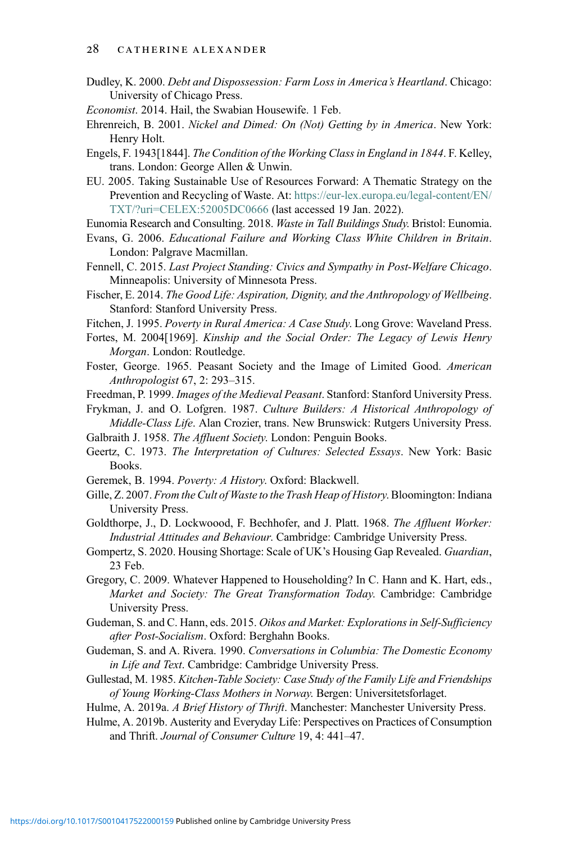- <span id="page-27-15"></span>Dudley, K. 2000. Debt and Dispossession: Farm Loss in America's Heartland. Chicago: University of Chicago Press.
- <span id="page-27-8"></span>Economist. 2014. Hail, the Swabian Housewife. 1 Feb.
- <span id="page-27-19"></span>Ehrenreich, B. 2001. Nickel and Dimed: On (Not) Getting by in America. New York: Henry Holt.
- <span id="page-27-12"></span>Engels, F. 1943[1844]. The Condition of the Working Class in England in 1844. F. Kelley, trans. London: George Allen & Unwin.
- <span id="page-27-24"></span>EU. 2005. Taking Sustainable Use of Resources Forward: A Thematic Strategy on the Prevention and Recycling of Waste. At: [https://eur-lex.europa.eu/legal-content/EN/](https://eur-lex.europa.eu/legal-content/EN/TXT/?uri=CELEX:52005DC0666) [TXT/?uri=CELEX:52005DC0666](https://eur-lex.europa.eu/legal-content/EN/TXT/?uri=CELEX:52005DC0666) (last accessed 19 Jan. 2022).
- <span id="page-27-25"></span><span id="page-27-16"></span>Eunomia Research and Consulting. 2018. Waste in Tall Buildings Study. Bristol: Eunomia.
- Evans, G. 2006. Educational Failure and Working Class White Children in Britain. London: Palgrave Macmillan.
- <span id="page-27-5"></span>Fennell, C. 2015. Last Project Standing: Civics and Sympathy in Post-Welfare Chicago. Minneapolis: University of Minnesota Press.
- <span id="page-27-3"></span>Fischer, E. 2014. The Good Life: Aspiration, Dignity, and the Anthropology of Wellbeing. Stanford: Stanford University Press.
- <span id="page-27-22"></span><span id="page-27-21"></span>Fitchen, J. 1995. Poverty in Rural America: A Case Study. Long Grove: Waveland Press.
- Fortes, M. 2004[1969]. Kinship and the Social Order: The Legacy of Lewis Henry Morgan. London: Routledge.
- <span id="page-27-10"></span>Foster, George. 1965. Peasant Society and the Image of Limited Good. American Anthropologist 67, 2: 293–315.
- <span id="page-27-14"></span><span id="page-27-13"></span>Freedman, P. 1999. Images of the Medieval Peasant. Stanford: Stanford University Press.
- Frykman, J. and O. Lofgren. 1987. Culture Builders: A Historical Anthropology of Middle-Class Life. Alan Crozier, trans. New Brunswick: Rutgers University Press.
- <span id="page-27-18"></span><span id="page-27-2"></span>Galbraith J. 1958. The Affluent Society. London: Penguin Books.
- <span id="page-27-11"></span>Geertz, C. 1973. The Interpretation of Cultures: Selected Essays. New York: Basic Books.
- <span id="page-27-6"></span>Geremek, B. 1994. Poverty: A History. Oxford: Blackwell.
- <span id="page-27-9"></span>Gille, Z. 2007. From the Cult of Waste to the Trash Heap of History. Bloomington: Indiana University Press.
- <span id="page-27-17"></span>Goldthorpe, J., D. Lockwoood, F. Bechhofer, and J. Platt. 1968. The Affluent Worker: Industrial Attitudes and Behaviour. Cambridge: Cambridge University Press.
- <span id="page-27-20"></span>Gompertz, S. 2020. Housing Shortage: Scale of UK's Housing Gap Revealed. Guardian, 23 Feb.
- Gregory, C. 2009. Whatever Happened to Householding? In C. Hann and K. Hart, eds., Market and Society: The Great Transformation Today. Cambridge: Cambridge University Press.
- <span id="page-27-7"></span><span id="page-27-4"></span>Gudeman, S. and C. Hann, eds. 2015. Oikos and Market: Explorations in Self-Sufficiency after Post-Socialism. Oxford: Berghahn Books.
- <span id="page-27-23"></span>Gudeman, S. and A. Rivera. 1990. Conversations in Columbia: The Domestic Economy in Life and Text. Cambridge: Cambridge University Press.
- <span id="page-27-0"></span>Gullestad, M. 1985. Kitchen-Table Society: Case Study of the Family Life and Friendships of Young Working-Class Mothers in Norway. Bergen: Universitetsforlaget.
- <span id="page-27-1"></span>Hulme, A. 2019a. A Brief History of Thrift. Manchester: Manchester University Press.
- Hulme, A. 2019b. Austerity and Everyday Life: Perspectives on Practices of Consumption and Thrift. Journal of Consumer Culture 19, 4: 441–47.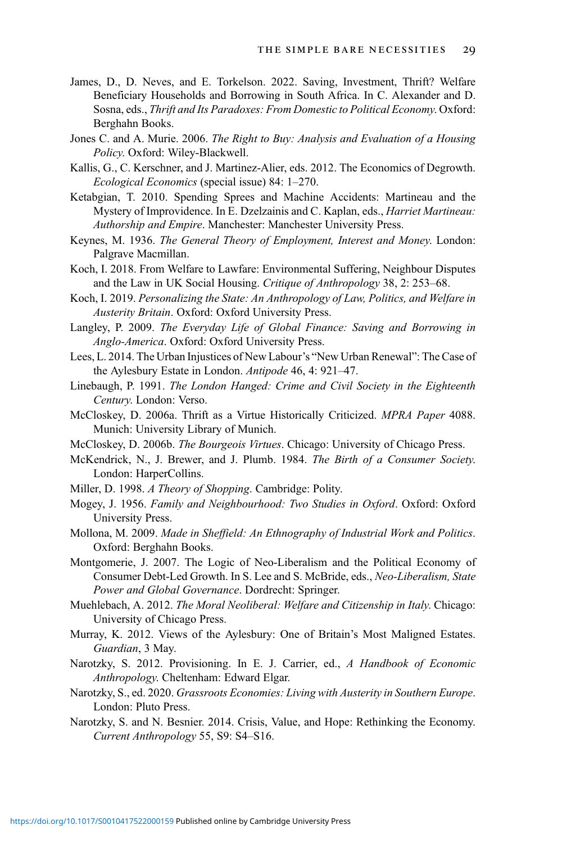- <span id="page-28-21"></span>James, D., D. Neves, and E. Torkelson. 2022. Saving, Investment, Thrift? Welfare Beneficiary Households and Borrowing in South Africa. In C. Alexander and D. Sosna, eds., Thrift and Its Paradoxes: From Domestic to Political Economy. Oxford: Berghahn Books.
- <span id="page-28-19"></span>Jones C. and A. Murie. 2006. The Right to Buy: Analysis and Evaluation of a Housing Policy. Oxford: Wiley-Blackwell.
- <span id="page-28-2"></span>Kallis, G., C. Kerschner, and J. Martinez-Alier, eds. 2012. The Economics of Degrowth. Ecological Economics (special issue) 84: 1–270.
- <span id="page-28-17"></span>Ketabgian, T. 2010. Spending Sprees and Machine Accidents: Martineau and the Mystery of Improvidence. In E. Dzelzainis and C. Kaplan, eds., Harriet Martineau: Authorship and Empire. Manchester: Manchester University Press.
- <span id="page-28-7"></span>Keynes, M. 1936. The General Theory of Employment, Interest and Money. London: Palgrave Macmillan.
- <span id="page-28-6"></span>Koch, I. 2018. From Welfare to Lawfare: Environmental Suffering, Neighbour Disputes and the Law in UK Social Housing. Critique of Anthropology 38, 2: 253–68.
- <span id="page-28-11"></span>Koch, I. 2019. Personalizing the State: An Anthropology of Law, Politics, and Welfare in Austerity Britain. Oxford: Oxford University Press.
- <span id="page-28-20"></span><span id="page-28-15"></span>Langley, P. 2009. The Everyday Life of Global Finance: Saving and Borrowing in Anglo-America. Oxford: Oxford University Press.
- <span id="page-28-14"></span>Lees, L. 2014. The Urban Injustices of New Labour's "New Urban Renewal": The Case of the Aylesbury Estate in London. Antipode 46, 4: 921-47.
- <span id="page-28-3"></span>Linebaugh, P. 1991. The London Hanged: Crime and Civil Society in the Eighteenth Century. London: Verso.
- <span id="page-28-4"></span>McCloskey, D. 2006a. Thrift as a Virtue Historically Criticized. MPRA Paper 4088. Munich: University Library of Munich.
- <span id="page-28-0"></span>McCloskey, D. 2006b. The Bourgeois Virtues. Chicago: University of Chicago Press.
- <span id="page-28-1"></span>McKendrick, N., J. Brewer, and J. Plumb. 1984. The Birth of a Consumer Society. London: HarperCollins.
- <span id="page-28-13"></span>Miller, D. 1998. A Theory of Shopping. Cambridge: Polity.
- <span id="page-28-10"></span>Mogey, J. 1956. Family and Neighbourhood: Two Studies in Oxford. Oxford: Oxford University Press.
- <span id="page-28-16"></span>Mollona, M. 2009. Made in Sheffield: An Ethnography of Industrial Work and Politics. Oxford: Berghahn Books.
- <span id="page-28-5"></span>Montgomerie, J. 2007. The Logic of Neo-Liberalism and the Political Economy of Consumer Debt-Led Growth. In S. Lee and S. McBride, eds., Neo-Liberalism, State Power and Global Governance. Dordrecht: Springer.
- <span id="page-28-18"></span>Muehlebach, A. 2012. The Moral Neoliberal: Welfare and Citizenship in Italy. Chicago: University of Chicago Press.
- <span id="page-28-12"></span>Murray, K. 2012. Views of the Aylesbury: One of Britain's Most Maligned Estates. Guardian, 3 May.
- <span id="page-28-8"></span>Narotzky, S. 2012. Provisioning. In E. J. Carrier, ed., A Handbook of Economic Anthropology. Cheltenham: Edward Elgar.
- <span id="page-28-9"></span>Narotzky, S., ed. 2020. Grassroots Economies: Living with Austerity in Southern Europe. London: Pluto Press.
- Narotzky, S. and N. Besnier. 2014. Crisis, Value, and Hope: Rethinking the Economy. Current Anthropology 55, S9: S4–S16.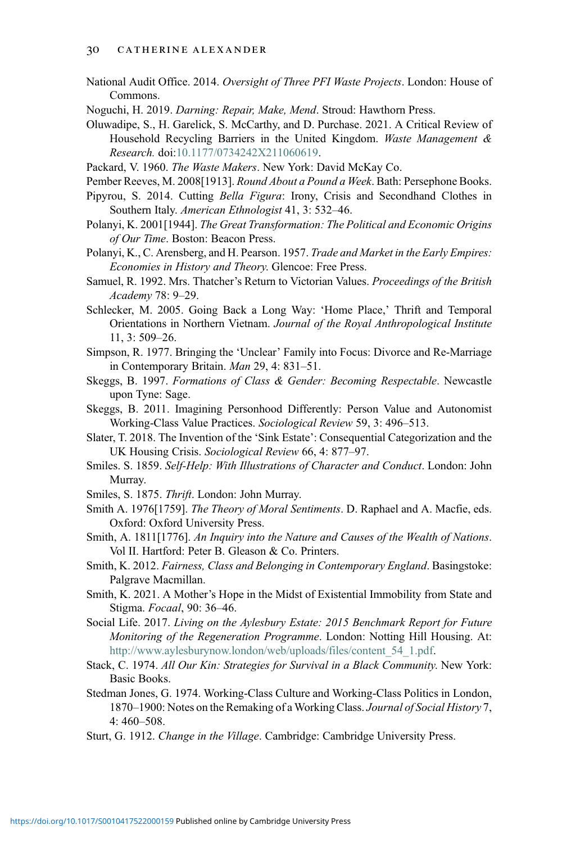<span id="page-29-22"></span>National Audit Office. 2014. Oversight of Three PFI Waste Projects. London: House of Commons.

<span id="page-29-17"></span>Noguchi, H. 2019. Darning: Repair, Make, Mend. Stroud: Hawthorn Press.

<span id="page-29-21"></span>Oluwadipe, S., H. Garelick, S. McCarthy, and D. Purchase. 2021. A Critical Review of Household Recycling Barriers in the United Kingdom. Waste Management & Research. doi[:10.1177/0734242X211060619.](10.1177/0734242X211060619)

<span id="page-29-6"></span><span id="page-29-0"></span>Packard, V. 1960. The Waste Makers. New York: David McKay Co.

- Pipyrou, S. 2014. Cutting Bella Figura: Irony, Crisis and Secondhand Clothes in Southern Italy. American Ethnologist 41, 3: 532–46.
- <span id="page-29-14"></span>Polanyi, K. 2001[1944]. The Great Transformation: The Political and Economic Origins of Our Time. Boston: Beacon Press.
- <span id="page-29-4"></span>Polanyi, K., C. Arensberg, and H. Pearson. 1957. Trade and Market in the Early Empires: Economies in History and Theory. Glencoe: Free Press.
- <span id="page-29-7"></span>Samuel, R. 1992. Mrs. Thatcher's Return to Victorian Values. Proceedings of the British Academy 78: 9–29.
- <span id="page-29-5"></span>Schlecker, M. 2005. Going Back a Long Way: 'Home Place,' Thrift and Temporal Orientations in Northern Vietnam. Journal of the Royal Anthropological Institute 11, 3: 509–26.
- <span id="page-29-20"></span>Simpson, R. 1977. Bringing the 'Unclear' Family into Focus: Divorce and Re-Marriage in Contemporary Britain. Man 29, 4: 831–51.
- <span id="page-29-2"></span>Skeggs, B. 1997. Formations of Class & Gender: Becoming Respectable. Newcastle upon Tyne: Sage.
- <span id="page-29-19"></span>Skeggs, B. 2011. Imagining Personhood Differently: Person Value and Autonomist Working-Class Value Practices. Sociological Review 59, 3: 496–513.
- <span id="page-29-15"></span>Slater, T. 2018. The Invention of the 'Sink Estate': Consequential Categorization and the UK Housing Crisis. Sociological Review 66, 4: 877–97.
- <span id="page-29-13"></span><span id="page-29-12"></span>Smiles. S. 1859. Self-Help: With Illustrations of Character and Conduct. London: John Murray.
- <span id="page-29-23"></span>Smiles, S. 1875. Thrift. London: John Murray.
- <span id="page-29-3"></span>Smith A. 1976[1759]. The Theory of Moral Sentiments. D. Raphael and A. Macfie, eds. Oxford: Oxford University Press.
- <span id="page-29-8"></span>Smith, A. 1811[1776]. An Inquiry into the Nature and Causes of the Wealth of Nations. Vol II. Hartford: Peter B. Gleason & Co. Printers.
- <span id="page-29-9"></span>Smith, K. 2012. Fairness, Class and Belonging in Contemporary England. Basingstoke: Palgrave Macmillan.
- <span id="page-29-16"></span>Smith, K. 2021. A Mother's Hope in the Midst of Existential Immobility from State and Stigma. Focaal, 90: 36–46.
- Social Life. 2017. Living on the Aylesbury Estate: 2015 Benchmark Report for Future Monitoring of the Regeneration Programme. London: Notting Hill Housing. At: [http://www.aylesburynow.london/web/uploads/files/content\\_54\\_1.pdf](http://www.aylesburynow.london/web/uploads/files/content_54_1.pdf).
- <span id="page-29-10"></span><span id="page-29-1"></span>Stack, C. 1974. All Our Kin: Strategies for Survival in a Black Community. New York: Basic Books.
- Stedman Jones, G. 1974. Working-Class Culture and Working-Class Politics in London, 1870–1900: Notes on the Remaking of a Working Class. Journal of Social History 7, 4: 460–508.
- <span id="page-29-11"></span>Sturt, G. 1912. Change in the Village. Cambridge: Cambridge University Press.

<span id="page-29-18"></span>Pember Reeves, M. 2008[1913]. Round About a Pound a Week. Bath: Persephone Books.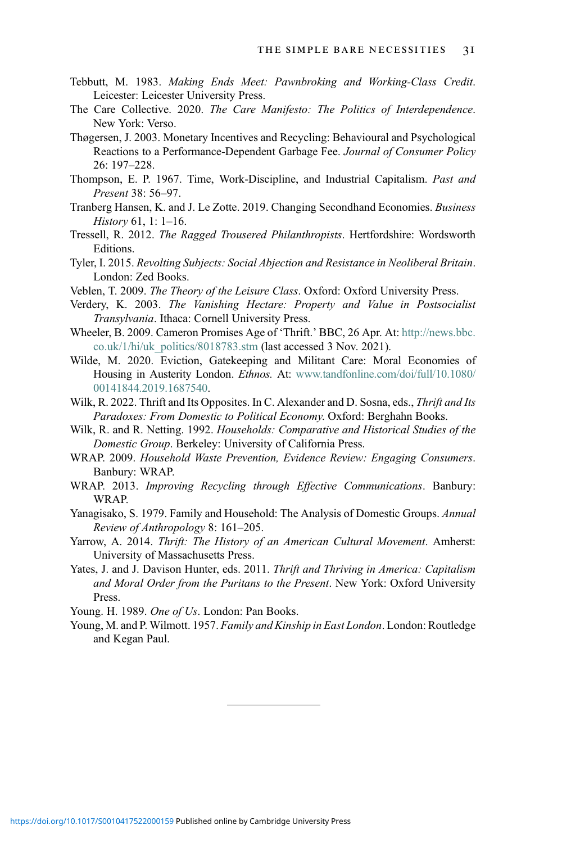- <span id="page-30-6"></span>Tebbutt, M. 1983. Making Ends Meet: Pawnbroking and Working-Class Credit. Leicester: Leicester University Press.
- <span id="page-30-19"></span>The Care Collective. 2020. The Care Manifesto: The Politics of Interdependence. New York: Verso.
- <span id="page-30-18"></span>Thøgersen, J. 2003. Monetary Incentives and Recycling: Behavioural and Psychological Reactions to a Performance-Dependent Garbage Fee. Journal of Consumer Policy 26: 197–228.
- <span id="page-30-5"></span>Thompson, E. P. 1967. Time, Work-Discipline, and Industrial Capitalism. Past and Present 38: 56–97.
- <span id="page-30-12"></span>Tranberg Hansen, K. and J. Le Zotte. 2019. Changing Secondhand Economies. Business History 61, 1: 1–16.
- <span id="page-30-14"></span>Tressell, R. 2012. The Ragged Trousered Philanthropists. Hertfordshire: Wordsworth Editions.
- <span id="page-30-8"></span>Tyler, I. 2015. Revolting Subjects: Social Abjection and Resistance in Neoliberal Britain. London: Zed Books.
- <span id="page-30-0"></span>Veblen, T. 2009. The Theory of the Leisure Class. Oxford: Oxford University Press.
- <span id="page-30-10"></span>Verdery, K. 2003. The Vanishing Hectare: Property and Value in Postsocialist Transylvania. Ithaca: Cornell University Press.
- <span id="page-30-3"></span>Wheeler, B. 2009. Cameron Promises Age of 'Thrift.' BBC, 26 Apr. At: [http://news.bbc.](http://news.bbc.co.uk/1/hi/uk_politics/8018783.stm) [co.uk/1/hi/uk\\_politics/8018783.stm](http://news.bbc.co.uk/1/hi/uk_politics/8018783.stm) (last accessed 3 Nov. 2021).
- <span id="page-30-11"></span>Wilde, M. 2020. Eviction, Gatekeeping and Militant Care: Moral Economies of Housing in Austerity London. Ethnos. At: [www.tandfonline.com/doi/full/10.1080/](http://www.tandfonline.com/doi/full/10.1080/00141844.2019.1687540) [00141844.2019.1687540.](http://www.tandfonline.com/doi/full/10.1080/00141844.2019.1687540)
- <span id="page-30-7"></span>Wilk, R. 2022. Thrift and Its Opposites. In C. Alexander and D. Sosna, eds., Thrift and Its Paradoxes: From Domestic to Political Economy. Oxford: Berghahn Books.
- <span id="page-30-15"></span>Wilk, R. and R. Netting. 1992. Households: Comparative and Historical Studies of the Domestic Group. Berkeley: University of California Press.
- <span id="page-30-13"></span>WRAP. 2009. Household Waste Prevention, Evidence Review: Engaging Consumers. Banbury: WRAP.
- <span id="page-30-17"></span>WRAP. 2013. Improving Recycling through Effective Communications. Banbury: WRAP.
- <span id="page-30-16"></span>Yanagisako, S. 1979. Family and Household: The Analysis of Domestic Groups. Annual Review of Anthropology 8: 161–205.
- <span id="page-30-2"></span>Yarrow, A. 2014. Thrift: The History of an American Cultural Movement. Amherst: University of Massachusetts Press.
- <span id="page-30-1"></span>Yates, J. and J. Davison Hunter, eds. 2011. Thrift and Thriving in America: Capitalism and Moral Order from the Puritans to the Present. New York: Oxford University Press.

<span id="page-30-4"></span>Young. H. 1989. One of Us. London: Pan Books.

<span id="page-30-9"></span>Young, M. and P. Wilmott. 1957. Family and Kinship in East London. London: Routledge and Kegan Paul.